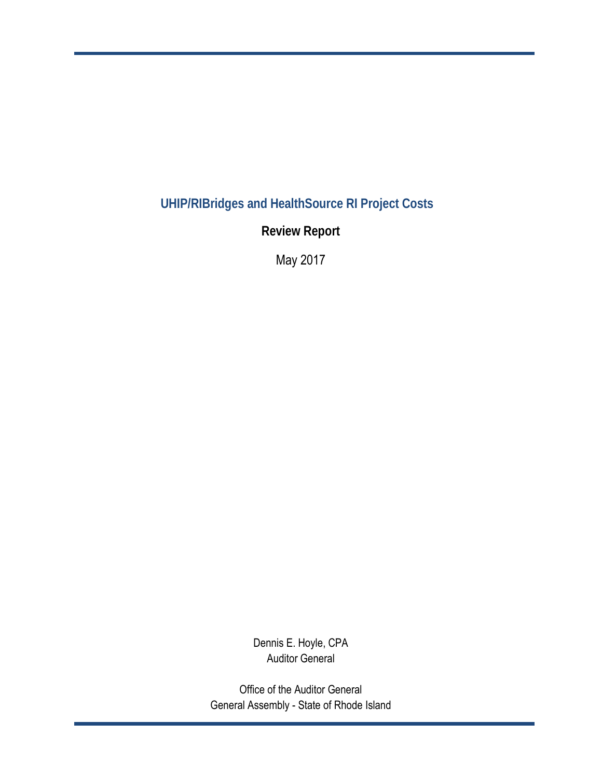**UHIP/RIBridges and HealthSource RI Project Costs** 

**Review Report**

May 2017

Dennis E. Hoyle, CPA Auditor General

Office of the Auditor General General Assembly - State of Rhode Island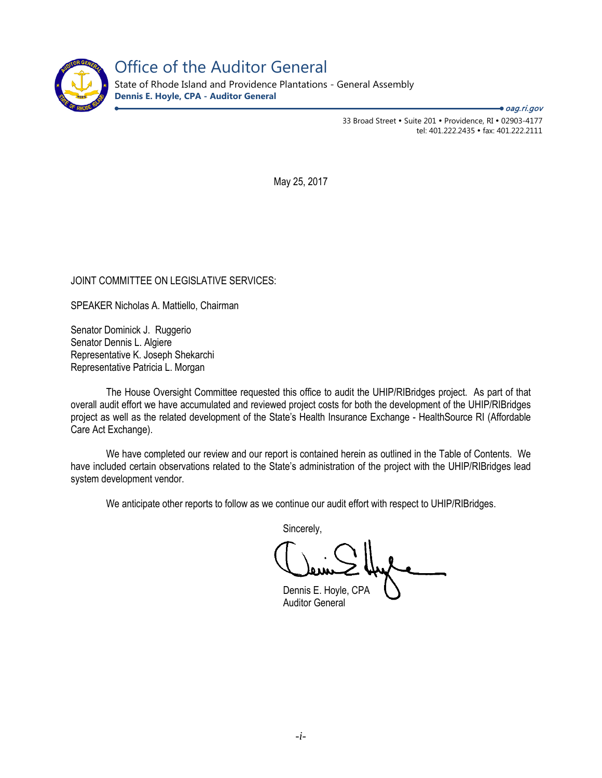

Office of the Auditor General

State of Rhode Island and Providence Plantations - General Assembly **Dennis E. Hoyle, CPA - Auditor General**

 $\bullet$  oag.ri.gov

33 Broad Street • Suite 201 • Providence, RI • 02903-4177 tel: 401.222.2435 · fax: 401.222.2111

May 25, 2017

## JOINT COMMITTEE ON LEGISLATIVE SERVICES:

SPEAKER Nicholas A. Mattiello, Chairman

Senator Dominick J. Ruggerio Senator Dennis L. Algiere Representative K. Joseph Shekarchi Representative Patricia L. Morgan

 The House Oversight Committee requested this office to audit the UHIP/RIBridges project. As part of that overall audit effort we have accumulated and reviewed project costs for both the development of the UHIP/RIBridges project as well as the related development of the State's Health Insurance Exchange - HealthSource RI (Affordable Care Act Exchange).

We have completed our review and our report is contained herein as outlined in the Table of Contents. We have included certain observations related to the State's administration of the project with the UHIP/RIBridges lead system development vendor.

We anticipate other reports to follow as we continue our audit effort with respect to UHIP/RIBridges.

Sincerely,

 Dennis E. Hoyle, CPA Auditor General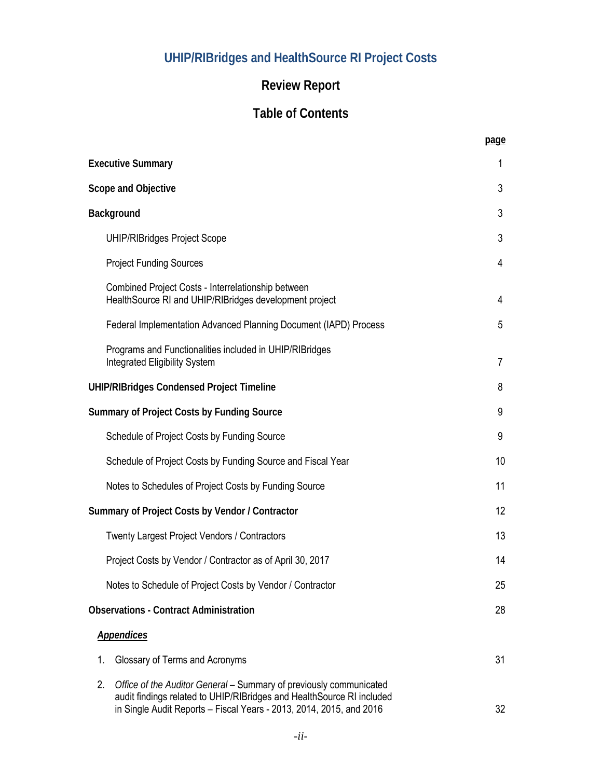# **UHIP/RIBridges and HealthSource RI Project Costs**

# **Review Report**

# **Table of Contents**

 **page** 

|    | <b>Executive Summary</b>                                                                                                                                                                                           | 1              |
|----|--------------------------------------------------------------------------------------------------------------------------------------------------------------------------------------------------------------------|----------------|
|    | Scope and Objective                                                                                                                                                                                                | 3              |
|    | Background                                                                                                                                                                                                         | 3              |
|    | <b>UHIP/RIBridges Project Scope</b>                                                                                                                                                                                | 3              |
|    | <b>Project Funding Sources</b>                                                                                                                                                                                     | 4              |
|    | Combined Project Costs - Interrelationship between<br>HealthSource RI and UHIP/RIBridges development project                                                                                                       | $\overline{4}$ |
|    | Federal Implementation Advanced Planning Document (IAPD) Process                                                                                                                                                   | 5              |
|    | Programs and Functionalities included in UHIP/RIBridges<br><b>Integrated Eligibility System</b>                                                                                                                    | $\overline{7}$ |
|    | <b>UHIP/RIBridges Condensed Project Timeline</b>                                                                                                                                                                   | 8              |
|    | <b>Summary of Project Costs by Funding Source</b>                                                                                                                                                                  | 9              |
|    | Schedule of Project Costs by Funding Source                                                                                                                                                                        | 9              |
|    | Schedule of Project Costs by Funding Source and Fiscal Year                                                                                                                                                        | 10             |
|    | Notes to Schedules of Project Costs by Funding Source                                                                                                                                                              | 11             |
|    | Summary of Project Costs by Vendor / Contractor                                                                                                                                                                    | 12             |
|    | <b>Twenty Largest Project Vendors / Contractors</b>                                                                                                                                                                | 13             |
|    | Project Costs by Vendor / Contractor as of April 30, 2017                                                                                                                                                          | 14             |
|    | Notes to Schedule of Project Costs by Vendor / Contractor                                                                                                                                                          | 25             |
|    | <b>Observations - Contract Administration</b>                                                                                                                                                                      | 28             |
|    | <b>Appendices</b>                                                                                                                                                                                                  |                |
| 1. | Glossary of Terms and Acronyms                                                                                                                                                                                     | 31             |
| 2. | Office of the Auditor General - Summary of previously communicated<br>audit findings related to UHIP/RIBridges and HealthSource RI included<br>in Single Audit Reports - Fiscal Years - 2013, 2014, 2015, and 2016 | 32             |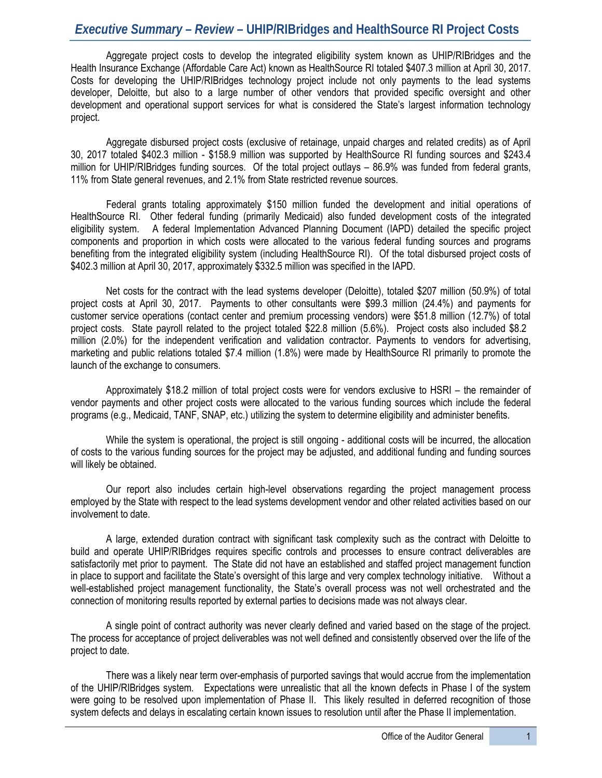# *Executive Summary – Review –* **UHIP/RIBridges and HealthSource RI Project Costs**

Aggregate project costs to develop the integrated eligibility system known as UHIP/RIBridges and the Health Insurance Exchange (Affordable Care Act) known as HealthSource RI totaled \$407.3 million at April 30, 2017. Costs for developing the UHIP/RIBridges technology project include not only payments to the lead systems developer, Deloitte, but also to a large number of other vendors that provided specific oversight and other development and operational support services for what is considered the State's largest information technology project.

Aggregate disbursed project costs (exclusive of retainage, unpaid charges and related credits) as of April 30, 2017 totaled \$402.3 million - \$158.9 million was supported by HealthSource RI funding sources and \$243.4 million for UHIP/RIBridges funding sources. Of the total project outlays – 86.9% was funded from federal grants, 11% from State general revenues, and 2.1% from State restricted revenue sources.

Federal grants totaling approximately \$150 million funded the development and initial operations of HealthSource RI. Other federal funding (primarily Medicaid) also funded development costs of the integrated eligibility system. A federal Implementation Advanced Planning Document (IAPD) detailed the specific project components and proportion in which costs were allocated to the various federal funding sources and programs benefiting from the integrated eligibility system (including HealthSource RI). Of the total disbursed project costs of \$402.3 million at April 30, 2017, approximately \$332.5 million was specified in the IAPD.

Net costs for the contract with the lead systems developer (Deloitte), totaled \$207 million (50.9%) of total project costs at April 30, 2017. Payments to other consultants were \$99.3 million (24.4%) and payments for customer service operations (contact center and premium processing vendors) were \$51.8 million (12.7%) of total project costs. State payroll related to the project totaled \$22.8 million (5.6%). Project costs also included \$8.2 million (2.0%) for the independent verification and validation contractor. Payments to vendors for advertising, marketing and public relations totaled \$7.4 million (1.8%) were made by HealthSource RI primarily to promote the launch of the exchange to consumers.

Approximately \$18.2 million of total project costs were for vendors exclusive to HSRI – the remainder of vendor payments and other project costs were allocated to the various funding sources which include the federal programs (e.g., Medicaid, TANF, SNAP, etc.) utilizing the system to determine eligibility and administer benefits.

While the system is operational, the project is still ongoing - additional costs will be incurred, the allocation of costs to the various funding sources for the project may be adjusted, and additional funding and funding sources will likely be obtained.

Our report also includes certain high-level observations regarding the project management process employed by the State with respect to the lead systems development vendor and other related activities based on our involvement to date.

A large, extended duration contract with significant task complexity such as the contract with Deloitte to build and operate UHIP/RIBridges requires specific controls and processes to ensure contract deliverables are satisfactorily met prior to payment. The State did not have an established and staffed project management function in place to support and facilitate the State's oversight of this large and very complex technology initiative. Without a well-established project management functionality, the State's overall process was not well orchestrated and the connection of monitoring results reported by external parties to decisions made was not always clear.

A single point of contract authority was never clearly defined and varied based on the stage of the project. The process for acceptance of project deliverables was not well defined and consistently observed over the life of the project to date.

There was a likely near term over-emphasis of purported savings that would accrue from the implementation of the UHIP/RIBridges system. Expectations were unrealistic that all the known defects in Phase I of the system were going to be resolved upon implementation of Phase II. This likely resulted in deferred recognition of those system defects and delays in escalating certain known issues to resolution until after the Phase II implementation.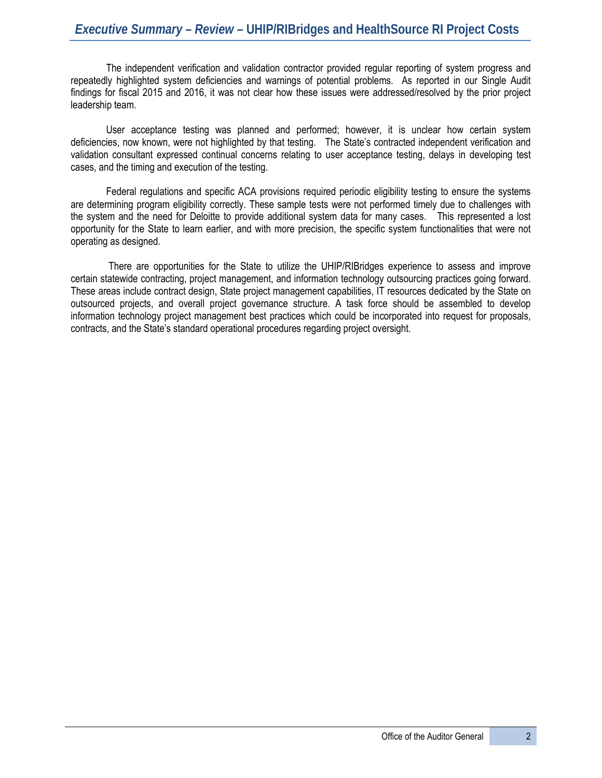The independent verification and validation contractor provided regular reporting of system progress and repeatedly highlighted system deficiencies and warnings of potential problems. As reported in our Single Audit findings for fiscal 2015 and 2016, it was not clear how these issues were addressed/resolved by the prior project leadership team.

User acceptance testing was planned and performed; however, it is unclear how certain system deficiencies, now known, were not highlighted by that testing. The State's contracted independent verification and validation consultant expressed continual concerns relating to user acceptance testing, delays in developing test cases, and the timing and execution of the testing.

Federal regulations and specific ACA provisions required periodic eligibility testing to ensure the systems are determining program eligibility correctly. These sample tests were not performed timely due to challenges with the system and the need for Deloitte to provide additional system data for many cases. This represented a lost opportunity for the State to learn earlier, and with more precision, the specific system functionalities that were not operating as designed.

 There are opportunities for the State to utilize the UHIP/RIBridges experience to assess and improve certain statewide contracting, project management, and information technology outsourcing practices going forward. These areas include contract design, State project management capabilities, IT resources dedicated by the State on outsourced projects, and overall project governance structure. A task force should be assembled to develop information technology project management best practices which could be incorporated into request for proposals, contracts, and the State's standard operational procedures regarding project oversight.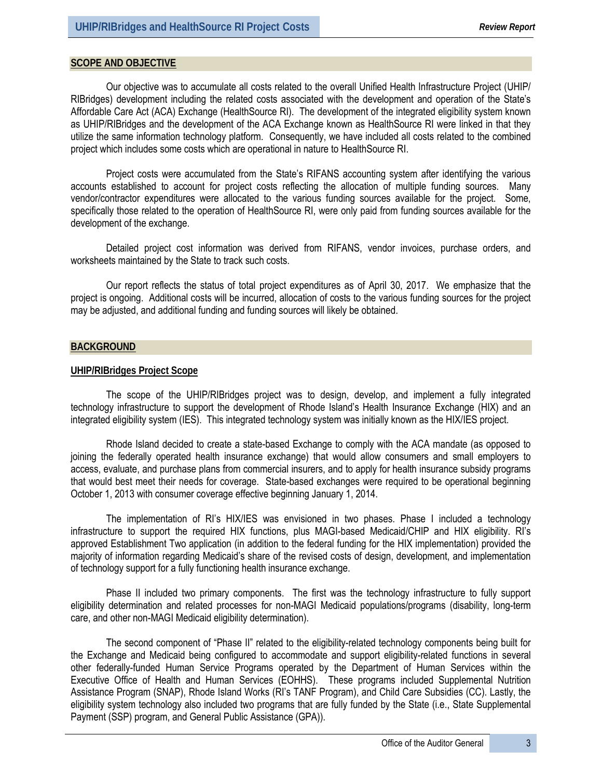#### **SCOPE AND OBJECTIVE**

Our objective was to accumulate all costs related to the overall Unified Health Infrastructure Project (UHIP/ RIBridges) development including the related costs associated with the development and operation of the State's Affordable Care Act (ACA) Exchange (HealthSource RI). The development of the integrated eligibility system known as UHIP/RIBridges and the development of the ACA Exchange known as HealthSource RI were linked in that they utilize the same information technology platform. Consequently, we have included all costs related to the combined project which includes some costs which are operational in nature to HealthSource RI.

Project costs were accumulated from the State's RIFANS accounting system after identifying the various accounts established to account for project costs reflecting the allocation of multiple funding sources. Many vendor/contractor expenditures were allocated to the various funding sources available for the project. Some, specifically those related to the operation of HealthSource RI, were only paid from funding sources available for the development of the exchange.

Detailed project cost information was derived from RIFANS, vendor invoices, purchase orders, and worksheets maintained by the State to track such costs.

Our report reflects the status of total project expenditures as of April 30, 2017. We emphasize that the project is ongoing. Additional costs will be incurred, allocation of costs to the various funding sources for the project may be adjusted, and additional funding and funding sources will likely be obtained.

#### **BACKGROUND**

#### **UHIP/RIBridges Project Scope**

The scope of the UHIP/RIBridges project was to design, develop, and implement a fully integrated technology infrastructure to support the development of Rhode Island's Health Insurance Exchange (HIX) and an integrated eligibility system (IES). This integrated technology system was initially known as the HIX/IES project.

Rhode Island decided to create a state-based Exchange to comply with the ACA mandate (as opposed to joining the federally operated health insurance exchange) that would allow consumers and small employers to access, evaluate, and purchase plans from commercial insurers, and to apply for health insurance subsidy programs that would best meet their needs for coverage. State-based exchanges were required to be operational beginning October 1, 2013 with consumer coverage effective beginning January 1, 2014.

The implementation of RI's HIX/IES was envisioned in two phases. Phase I included a technology infrastructure to support the required HIX functions, plus MAGI-based Medicaid/CHIP and HIX eligibility. RI's approved Establishment Two application (in addition to the federal funding for the HIX implementation) provided the majority of information regarding Medicaid's share of the revised costs of design, development, and implementation of technology support for a fully functioning health insurance exchange.

Phase II included two primary components. The first was the technology infrastructure to fully support eligibility determination and related processes for non-MAGI Medicaid populations/programs (disability, long-term care, and other non-MAGI Medicaid eligibility determination).

The second component of "Phase II" related to the eligibility-related technology components being built for the Exchange and Medicaid being configured to accommodate and support eligibility-related functions in several other federally-funded Human Service Programs operated by the Department of Human Services within the Executive Office of Health and Human Services (EOHHS). These programs included Supplemental Nutrition Assistance Program (SNAP), Rhode Island Works (RI's TANF Program), and Child Care Subsidies (CC). Lastly, the eligibility system technology also included two programs that are fully funded by the State (i.e., State Supplemental Payment (SSP) program, and General Public Assistance (GPA)).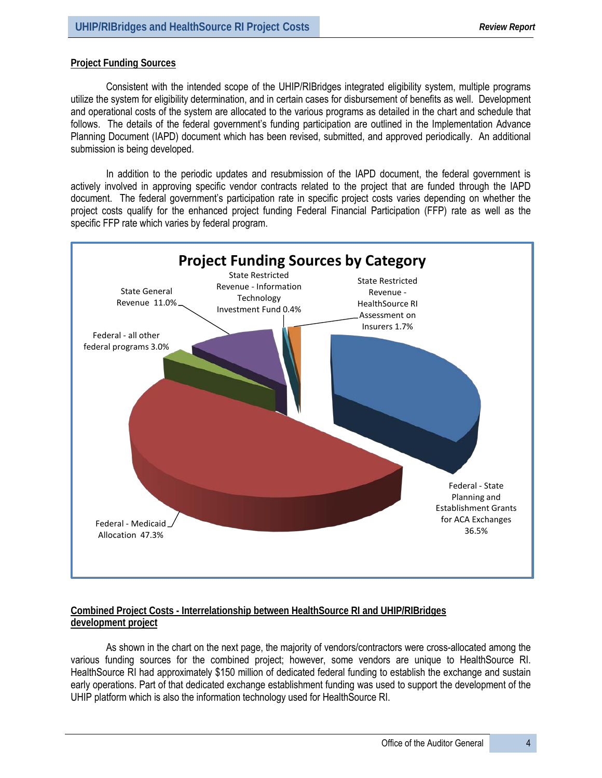#### **Project Funding Sources**

Consistent with the intended scope of the UHIP/RIBridges integrated eligibility system, multiple programs utilize the system for eligibility determination, and in certain cases for disbursement of benefits as well. Development and operational costs of the system are allocated to the various programs as detailed in the chart and schedule that follows. The details of the federal government's funding participation are outlined in the Implementation Advance Planning Document (IAPD) document which has been revised, submitted, and approved periodically. An additional submission is being developed.

In addition to the periodic updates and resubmission of the IAPD document, the federal government is actively involved in approving specific vendor contracts related to the project that are funded through the IAPD document. The federal government's participation rate in specific project costs varies depending on whether the project costs qualify for the enhanced project funding Federal Financial Participation (FFP) rate as well as the specific FFP rate which varies by federal program.



## **Combined Project Costs - Interrelationship between HealthSource RI and UHIP/RIBridges development project**

As shown in the chart on the next page, the majority of vendors/contractors were cross-allocated among the various funding sources for the combined project; however, some vendors are unique to HealthSource RI. HealthSource RI had approximately \$150 million of dedicated federal funding to establish the exchange and sustain early operations. Part of that dedicated exchange establishment funding was used to support the development of the UHIP platform which is also the information technology used for HealthSource RI.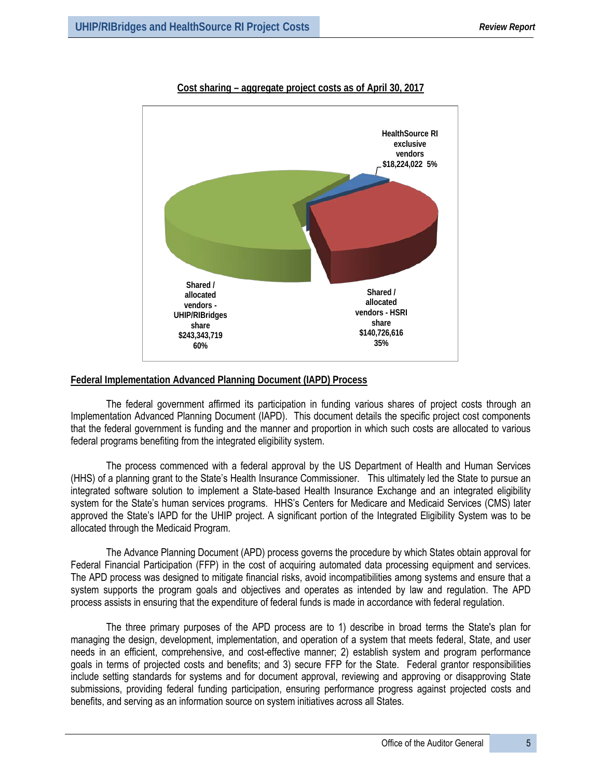

## **Cost sharing – aggregate project costs as of April 30, 2017**

### **Federal Implementation Advanced Planning Document (IAPD) Process**

The federal government affirmed its participation in funding various shares of project costs through an Implementation Advanced Planning Document (IAPD). This document details the specific project cost components that the federal government is funding and the manner and proportion in which such costs are allocated to various federal programs benefiting from the integrated eligibility system.

The process commenced with a federal approval by the US Department of Health and Human Services (HHS) of a planning grant to the State's Health Insurance Commissioner. This ultimately led the State to pursue an integrated software solution to implement a State-based Health Insurance Exchange and an integrated eligibility system for the State's human services programs. HHS's Centers for Medicare and Medicaid Services (CMS) later approved the State's IAPD for the UHIP project. A significant portion of the Integrated Eligibility System was to be allocated through the Medicaid Program.

The Advance Planning Document (APD) process governs the procedure by which States obtain approval for Federal Financial Participation (FFP) in the cost of acquiring automated data processing equipment and services. The APD process was designed to mitigate financial risks, avoid incompatibilities among systems and ensure that a system supports the program goals and objectives and operates as intended by law and regulation. The APD process assists in ensuring that the expenditure of federal funds is made in accordance with federal regulation.

The three primary purposes of the APD process are to 1) describe in broad terms the State's plan for managing the design, development, implementation, and operation of a system that meets federal, State, and user needs in an efficient, comprehensive, and cost-effective manner; 2) establish system and program performance goals in terms of projected costs and benefits; and 3) secure FFP for the State. Federal grantor responsibilities include setting standards for systems and for document approval, reviewing and approving or disapproving State submissions, providing federal funding participation, ensuring performance progress against projected costs and benefits, and serving as an information source on system initiatives across all States.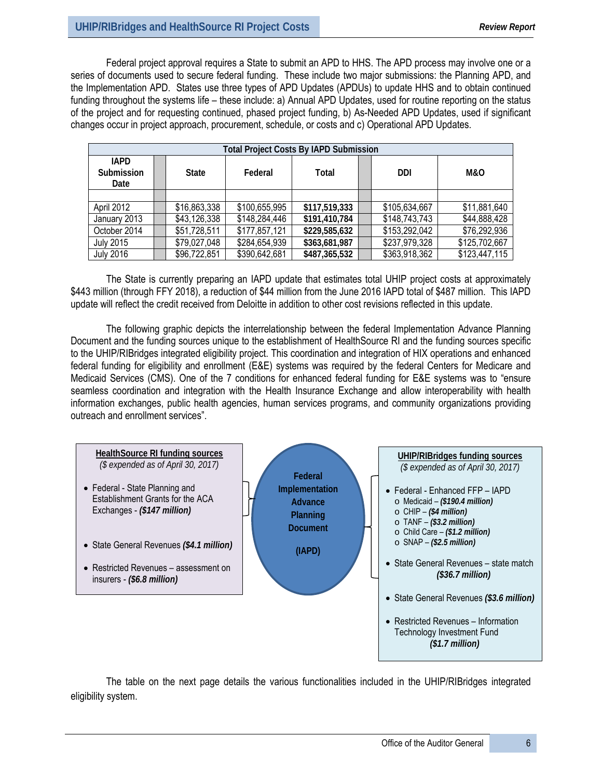Federal project approval requires a State to submit an APD to HHS. The APD process may involve one or a series of documents used to secure federal funding. These include two major submissions: the Planning APD, and the Implementation APD. States use three types of APD Updates (APDUs) to update HHS and to obtain continued funding throughout the systems life – these include: a) Annual APD Updates, used for routine reporting on the status of the project and for requesting continued, phased project funding, b) As-Needed APD Updates, used if significant changes occur in project approach, procurement, schedule, or costs and c) Operational APD Updates.

|                                   | <b>Total Project Costs By IAPD Submission</b> |              |               |               |  |               |                |  |  |  |  |  |  |  |
|-----------------------------------|-----------------------------------------------|--------------|---------------|---------------|--|---------------|----------------|--|--|--|--|--|--|--|
| <b>IAPD</b><br>Submission<br>Date |                                               | <b>State</b> | Federal       | Total         |  | DDI           | <b>M&amp;O</b> |  |  |  |  |  |  |  |
|                                   |                                               |              |               |               |  |               |                |  |  |  |  |  |  |  |
| April 2012                        |                                               | \$16,863,338 | \$100,655,995 | \$117,519,333 |  | \$105,634,667 | \$11,881,640   |  |  |  |  |  |  |  |
| January 2013                      |                                               | \$43,126,338 | \$148,284,446 | \$191,410,784 |  | \$148,743,743 | \$44,888,428   |  |  |  |  |  |  |  |
| October 2014                      |                                               | \$51,728,511 | \$177,857,121 | \$229,585,632 |  | \$153,292,042 | \$76,292,936   |  |  |  |  |  |  |  |
| <b>July 2015</b>                  |                                               | \$79,027,048 | \$284,654,939 | \$363,681,987 |  | \$237,979,328 | \$125,702,667  |  |  |  |  |  |  |  |
| <b>July 2016</b>                  |                                               | \$96,722,851 | \$390,642,681 | \$487,365,532 |  | \$363,918,362 | \$123,447,115  |  |  |  |  |  |  |  |

The State is currently preparing an IAPD update that estimates total UHIP project costs at approximately \$443 million (through FFY 2018), a reduction of \$44 million from the June 2016 IAPD total of \$487 million. This IAPD update will reflect the credit received from Deloitte in addition to other cost revisions reflected in this update.

The following graphic depicts the interrelationship between the federal Implementation Advance Planning Document and the funding sources unique to the establishment of HealthSource RI and the funding sources specific to the UHIP/RIBridges integrated eligibility project. This coordination and integration of HIX operations and enhanced federal funding for eligibility and enrollment (E&E) systems was required by the federal Centers for Medicare and Medicaid Services (CMS). One of the 7 conditions for enhanced federal funding for E&E systems was to "ensure seamless coordination and integration with the Health Insurance Exchange and allow interoperability with health information exchanges, public health agencies, human services programs, and community organizations providing outreach and enrollment services".



The table on the next page details the various functionalities included in the UHIP/RIBridges integrated eligibility system.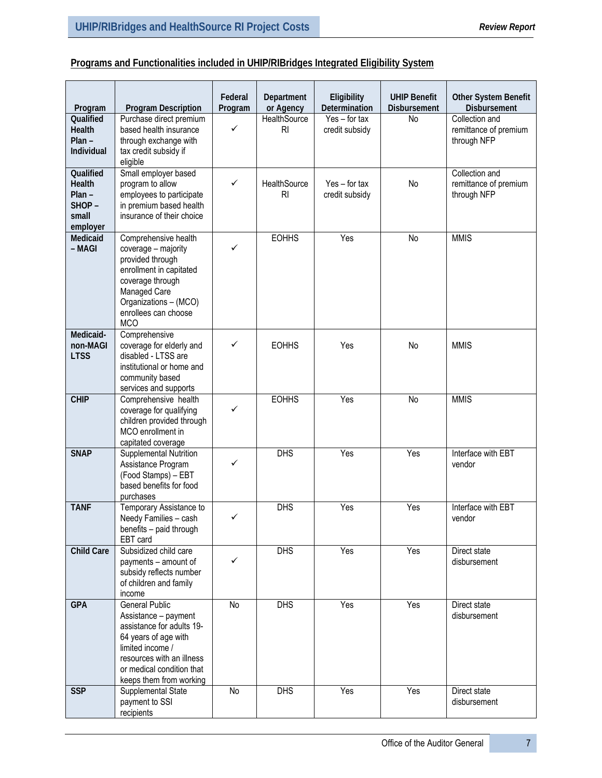# **Programs and Functionalities included in UHIP/RIBridges Integrated Eligibility System**

| Program                                                       | <b>Program Description</b>                                                                                                                                                                                  | Federal<br>Program | Department<br>or Agency          | Eligibility<br>Determination      | <b>UHIP Benefit</b><br>Disbursement | Other System Benefit<br><b>Disbursement</b>            |
|---------------------------------------------------------------|-------------------------------------------------------------------------------------------------------------------------------------------------------------------------------------------------------------|--------------------|----------------------------------|-----------------------------------|-------------------------------------|--------------------------------------------------------|
| Qualified<br><b>Health</b><br>$Plan -$<br>Individual          | Purchase direct premium<br>based health insurance<br>through exchange with<br>tax credit subsidy if<br>eligible                                                                                             | ✓                  | <b>HealthSource</b><br><b>RI</b> | $Yes - for tax$<br>credit subsidy | No                                  | Collection and<br>remittance of premium<br>through NFP |
| Qualified<br>Health<br>$Plan -$<br>SHOP-<br>small<br>employer | Small employer based<br>program to allow<br>employees to participate<br>in premium based health<br>insurance of their choice                                                                                | ✓                  | HealthSource<br>R <sub>l</sub>   | $Yes - for tax$<br>credit subsidy | No                                  | Collection and<br>remittance of premium<br>through NFP |
| Medicaid<br>– MAGI                                            | Comprehensive health<br>coverage - majority<br>provided through<br>enrollment in capitated<br>coverage through<br>Managed Care<br>Organizations - (MCO)<br>enrollees can choose<br><b>MCO</b>               | ✓                  | <b>EOHHS</b>                     | Yes                               | <b>No</b>                           | <b>MMIS</b>                                            |
| Medicaid-<br>non-MAGI<br><b>LTSS</b>                          | Comprehensive<br>coverage for elderly and<br>disabled - LTSS are<br>institutional or home and<br>community based<br>services and supports                                                                   | ✓                  | <b>EOHHS</b>                     | Yes                               | No                                  | <b>MMIS</b>                                            |
| <b>CHIP</b>                                                   | Comprehensive health<br>coverage for qualifying<br>children provided through<br>MCO enrollment in<br>capitated coverage                                                                                     | ✓                  | <b>EOHHS</b>                     | Yes                               | No                                  | <b>MMIS</b>                                            |
| <b>SNAP</b>                                                   | Supplemental Nutrition<br>Assistance Program<br>(Food Stamps) - EBT<br>based benefits for food<br>purchases                                                                                                 | ✓                  | DHS                              | Yes                               | Yes                                 | Interface with EBT<br>vendor                           |
| <b>TANF</b>                                                   | Temporary Assistance to<br>Needy Families - cash<br>benefits - paid through<br>EBT card                                                                                                                     |                    | <b>DHS</b>                       | Yes                               | Yes                                 | Interface with EBT<br>vendor                           |
| <b>Child Care</b>                                             | Subsidized child care<br>payments - amount of<br>subsidy reflects number<br>of children and family<br>income                                                                                                | ✓                  | <b>DHS</b>                       | Yes                               | Yes                                 | Direct state<br>disbursement                           |
| <b>GPA</b>                                                    | <b>General Public</b><br>Assistance - payment<br>assistance for adults 19-<br>64 years of age with<br>limited income /<br>resources with an illness<br>or medical condition that<br>keeps them from working | No                 | <b>DHS</b>                       | Yes                               | Yes                                 | Direct state<br>disbursement                           |
| <b>SSP</b>                                                    | Supplemental State<br>payment to SSI<br>recipients                                                                                                                                                          | No                 | <b>DHS</b>                       | Yes                               | Yes                                 | Direct state<br>disbursement                           |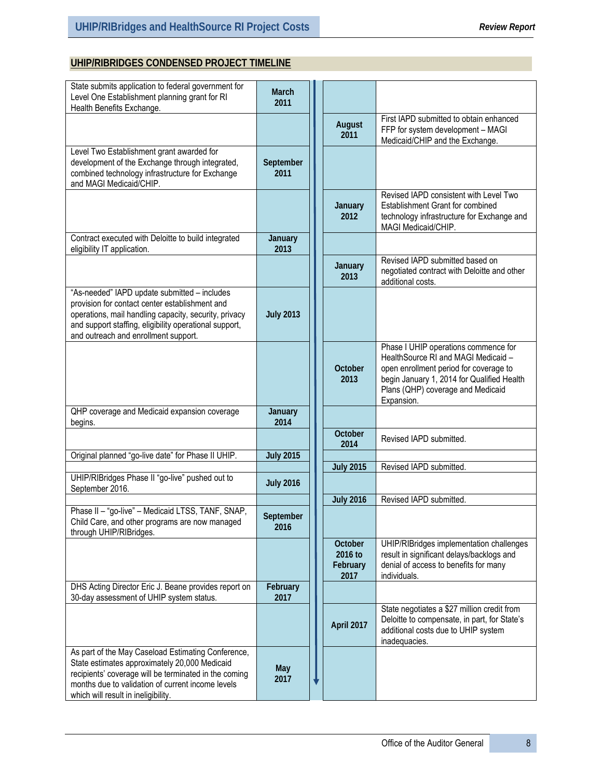# **UHIP/RIBRIDGES CONDENSED PROJECT TIMELINE**

| State submits application to federal government for<br>Level One Establishment planning grant for RI<br>Health Benefits Exchange.                                                                                                                         | March<br>2011     |                                        |                                                                                                                                                                                                                        |
|-----------------------------------------------------------------------------------------------------------------------------------------------------------------------------------------------------------------------------------------------------------|-------------------|----------------------------------------|------------------------------------------------------------------------------------------------------------------------------------------------------------------------------------------------------------------------|
|                                                                                                                                                                                                                                                           |                   | August<br>2011                         | First IAPD submitted to obtain enhanced<br>FFP for system development - MAGI<br>Medicaid/CHIP and the Exchange.                                                                                                        |
| Level Two Establishment grant awarded for<br>development of the Exchange through integrated,<br>combined technology infrastructure for Exchange<br>and MAGI Medicaid/CHIP.                                                                                | September<br>2011 |                                        |                                                                                                                                                                                                                        |
|                                                                                                                                                                                                                                                           |                   | January<br>2012                        | Revised IAPD consistent with Level Two<br>Establishment Grant for combined<br>technology infrastructure for Exchange and<br>MAGI Medicaid/CHIP.                                                                        |
| Contract executed with Deloitte to build integrated<br>eligibility IT application.                                                                                                                                                                        | January<br>2013   |                                        |                                                                                                                                                                                                                        |
|                                                                                                                                                                                                                                                           |                   | January<br>2013                        | Revised IAPD submitted based on<br>negotiated contract with Deloitte and other<br>additional costs.                                                                                                                    |
| "As-needed" IAPD update submitted - includes<br>provision for contact center establishment and<br>operations, mail handling capacity, security, privacy<br>and support staffing, eligibility operational support,<br>and outreach and enrollment support. | <b>July 2013</b>  |                                        |                                                                                                                                                                                                                        |
|                                                                                                                                                                                                                                                           |                   | October<br>2013                        | Phase I UHIP operations commence for<br>HealthSource RI and MAGI Medicaid -<br>open enrollment period for coverage to<br>begin January 1, 2014 for Qualified Health<br>Plans (QHP) coverage and Medicaid<br>Expansion. |
| QHP coverage and Medicaid expansion coverage<br>begins.                                                                                                                                                                                                   | January<br>2014   |                                        |                                                                                                                                                                                                                        |
|                                                                                                                                                                                                                                                           |                   | October<br>2014                        | Revised IAPD submitted.                                                                                                                                                                                                |
| Original planned "go-live date" for Phase II UHIP.                                                                                                                                                                                                        | <b>July 2015</b>  |                                        |                                                                                                                                                                                                                        |
|                                                                                                                                                                                                                                                           |                   | <b>July 2015</b>                       | Revised IAPD submitted.                                                                                                                                                                                                |
| UHIP/RIBridges Phase II "go-live" pushed out to<br>September 2016.                                                                                                                                                                                        | <b>July 2016</b>  |                                        |                                                                                                                                                                                                                        |
|                                                                                                                                                                                                                                                           |                   | <b>July 2016</b>                       | Revised IAPD submitted.                                                                                                                                                                                                |
| Phase II - "go-live" - Medicaid LTSS, TANF, SNAP,<br>Child Care, and other programs are now managed<br>through UHIP/RIBridges.                                                                                                                            | September<br>2016 |                                        |                                                                                                                                                                                                                        |
|                                                                                                                                                                                                                                                           |                   | October<br>2016 to<br>February<br>2017 | UHIP/RIBridges implementation challenges<br>result in significant delays/backlogs and<br>denial of access to benefits for many<br>individuals.                                                                         |
| DHS Acting Director Eric J. Beane provides report on<br>30-day assessment of UHIP system status.                                                                                                                                                          | February<br>2017  |                                        |                                                                                                                                                                                                                        |
|                                                                                                                                                                                                                                                           |                   | April 2017                             | State negotiates a \$27 million credit from<br>Deloitte to compensate, in part, for State's<br>additional costs due to UHIP system<br>inadequacies.                                                                    |
| As part of the May Caseload Estimating Conference,<br>State estimates approximately 20,000 Medicaid<br>recipients' coverage will be terminated in the coming<br>months due to validation of current income levels<br>which will result in ineligibility.  | May<br>2017       |                                        |                                                                                                                                                                                                                        |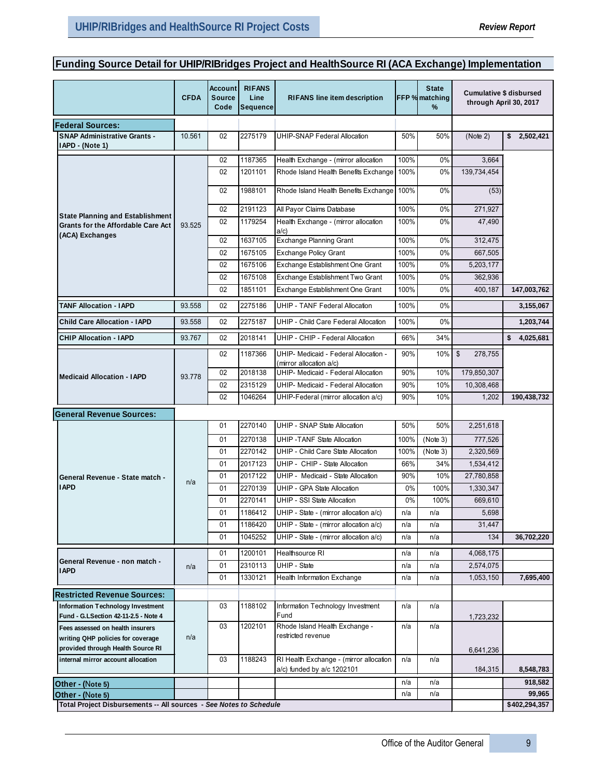# **Funding Source Detail for UHIP/RIBridges Project and HealthSource RI (ACA Exchange) Implementation**

|                                                                                        | <b>CFDA</b> | Account<br>Source<br>Code | <b>RIFANS</b><br>Line<br>Sequence | <b>RIFANS line item description</b>                                  |              | <b>State</b><br>FFP % matching<br>% |                         | Cumulative \$ disbursed<br>through April 30, 2017 |
|----------------------------------------------------------------------------------------|-------------|---------------------------|-----------------------------------|----------------------------------------------------------------------|--------------|-------------------------------------|-------------------------|---------------------------------------------------|
| <b> Federal Sources:</b>                                                               |             |                           |                                   |                                                                      |              |                                     |                         |                                                   |
| <b>SNAP Administrative Grants -</b><br>IAPD - (Note 1)                                 | 10.561      | 02                        | 2275179                           | <b>UHIP-SNAP Federal Allocation</b>                                  | 50%          | 50%                                 | (Note 2)                | \$2,502,421                                       |
|                                                                                        |             | 02                        | 1187365                           | Health Exchange - (mirror allocation                                 | 100%         | 0%                                  | 3,664                   |                                                   |
|                                                                                        |             | 02                        | 1201101                           | Rhode Island Health Benefits Exchange                                | 100%         | 0%                                  | 139,734,454             |                                                   |
|                                                                                        |             | 02                        | 1988101                           | Rhode Island Health Benefits Exchange                                | 100%         | $0\%$                               | (53)                    |                                                   |
| State Planning and Establishment                                                       |             | 02                        | 2191123                           | All Payor Claims Database                                            | 100%         | 0%                                  | 271,927                 |                                                   |
| Grants for the Affordable Care Act<br>(ACA) Exchanges                                  | 93.525      | 02                        | 1179254                           | Health Exchange - (mirror allocation<br>a/c                          | 100%         | 0%                                  | 47,490                  |                                                   |
|                                                                                        |             | 02                        | 1637105                           | <b>Exchange Planning Grant</b>                                       | 100%         | 0%                                  | 312,475                 |                                                   |
|                                                                                        |             | 02                        | 1675105                           | <b>Exchange Policy Grant</b>                                         | 100%         | 0%                                  | 667,505                 |                                                   |
|                                                                                        |             | 02                        | 1675106                           | Exchange Establishment One Grant                                     | 100%         | 0%                                  | 5,203,177               |                                                   |
|                                                                                        |             | 02<br>02                  | 1675108<br>1851101                | Exchange Establishment Two Grant<br>Exchange Establishment One Grant | 100%<br>100% | 0%<br>0%                            | 362,936<br>400,187      | 147,003,762                                       |
|                                                                                        |             |                           |                                   |                                                                      |              |                                     |                         |                                                   |
| <b>TANF Allocation - IAPD</b>                                                          | 93.558      | 02                        | 2275186                           | <b>UHIP - TANF Federal Allocation</b>                                | 100%         | $0\%$                               |                         | 3,155,067                                         |
| <b>Child Care Allocation - IAPD</b>                                                    | 93.558      | 02                        | 2275187                           | UHIP - Child Care Federal Allocation                                 | 100%         | 0%                                  |                         | 1,203,744                                         |
| <b>CHIP Allocation - IAPD</b>                                                          | 93.767      | 02                        | 2018141                           | UHIP - CHIP - Federal Allocation                                     | 66%          | 34%                                 |                         | \$<br>4,025,681                                   |
|                                                                                        |             | 02                        | 1187366                           | UHIP- Medicaid - Federal Allocation -<br>(mirror allocation a/c)     | 90%          | 10%                                 | \$<br>278,755           |                                                   |
| <b>Medicaid Allocation - IAPD</b>                                                      | 93.778      | 02                        | 2018138                           | UHIP- Medicaid - Federal Allocation                                  | 90%          | 10%                                 | 179,850,307             |                                                   |
|                                                                                        |             | 02                        | 2315129                           | UHIP- Medicaid - Federal Allocation                                  | 90%          | 10%                                 | 10,308,468              |                                                   |
|                                                                                        |             | 02                        | 1046264                           | UHIP-Federal (mirror allocation a/c)                                 | 90%          | 10%                                 | 1,202                   | 190,438,732                                       |
| <b>General Revenue Sources:</b>                                                        |             |                           |                                   |                                                                      |              |                                     |                         |                                                   |
|                                                                                        |             | 01                        | 2270140                           | UHIP - SNAP State Allocation                                         | 50%          | 50%                                 | 2,251,618               |                                                   |
|                                                                                        |             | 01                        | 2270138                           | <b>UHIP-TANF State Allocation</b>                                    | 100%         | (Note 3)                            | 777,526                 |                                                   |
|                                                                                        |             | 01                        | 2270142                           | UHIP - Child Care State Allocation                                   | 100%         | (Note 3)                            | 2,320,569               |                                                   |
|                                                                                        |             | 01                        | 2017123                           | UHIP - CHIP - State Allocation                                       | 66%          | 34%                                 | 1,534,412               |                                                   |
| General Revenue - State match -<br><b>IAPD</b>                                         | n/a         | 01<br>01                  | 2017122<br>2270139                | UHIP - Medicaid - State Allocation<br>UHIP - GPA State Allocation    | 90%<br>0%    | 10%<br>100%                         | 27,780,858<br>1,330,347 |                                                   |
|                                                                                        |             | 01                        | 2270141                           | UHIP - SSI State Allocation                                          | 0%           | 100%                                | 669,610                 |                                                   |
|                                                                                        |             | 01                        | 1186412                           | UHIP - State - (mirror allocation a/c)                               | n/a          | n/a                                 | 5,698                   |                                                   |
|                                                                                        |             | 01                        | 1186420                           | UHIP - State - (mirror allocation a/c)                               | n/a          | n/a                                 | 31,447                  |                                                   |
|                                                                                        |             | 01                        | 1045252                           | UHIP - State - (mirror allocation a/c)                               | n/a          | n/a                                 | 134                     | 36,702,220                                        |
|                                                                                        |             | 01                        | 1200101                           | Healthsource RI                                                      | n/a          | n/a                                 | 4,068,175               |                                                   |
| General Revenue - non match -                                                          | n/a         | 01                        | 2310113                           | <b>UHIP - State</b>                                                  | n/a          | n/a                                 | 2,574,075               |                                                   |
| <b>IAPD</b>                                                                            |             | 01                        | 1330121                           | Health Information Exchange                                          | n/a          | n/a                                 | 1,053,150               | 7,695,400                                         |
| <b>Restricted Revenue Sources:</b>                                                     |             |                           |                                   |                                                                      |              |                                     |                         |                                                   |
| Information Technology Investment                                                      |             | 03                        | 1188102                           | Information Technology Investment                                    | n/a          | n/a                                 |                         |                                                   |
| Fund - G.LSection 42-11-2.5 - Note 4                                                   |             |                           |                                   | Fund                                                                 |              |                                     | 1,723,232               |                                                   |
| Fees assessed on health insurers                                                       | n/a         | 03                        | 1202101                           | Rhode Island Health Exchange -<br>restricted revenue                 | n/a          | n/a                                 |                         |                                                   |
| writing QHP policies for coverage<br>provided through Health Source RI                 |             |                           |                                   |                                                                      |              |                                     | 6,641,236               |                                                   |
| internal mirror account allocation                                                     |             | 03                        | 1188243                           | RI Health Exchange - (mirror allocation                              | n/a          | n/a                                 |                         |                                                   |
|                                                                                        |             |                           |                                   | a/c) funded by a/c 1202101                                           |              |                                     | 184,315                 | 8,548,783                                         |
| Other - (Note 5)                                                                       |             |                           |                                   |                                                                      | n/a          | n/a                                 |                         | 918,582                                           |
| Other - (Note 5)<br>Total Project Disbursements -- All sources - See Notes to Schedule |             |                           |                                   |                                                                      | n/a          | n/a                                 |                         | 99,965<br>\$402,294,357                           |
|                                                                                        |             |                           |                                   |                                                                      |              |                                     |                         |                                                   |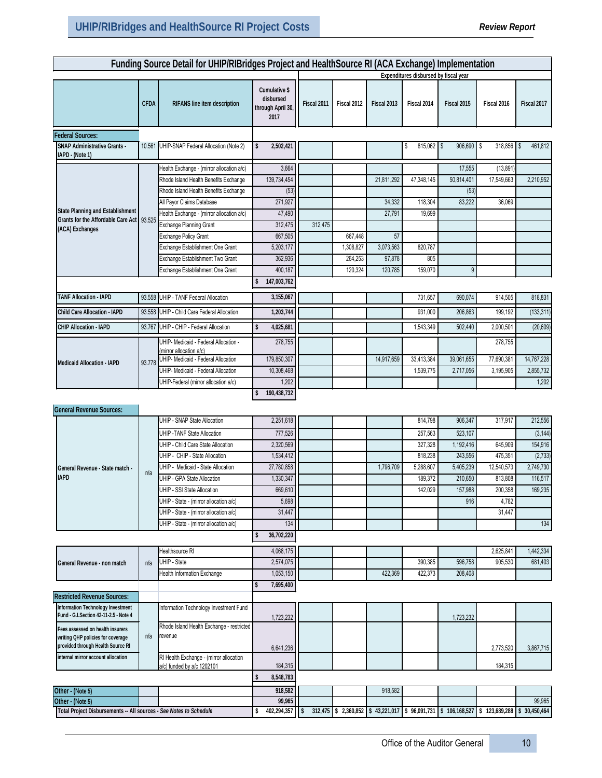|                                                                                                            |             | Funding Source Detail for UHIP/RIBridges Project and HealthSource RI (ACA Exchange) Implementation |           |                                                         |             |                                  |             |                                       |                      |                                              |              |
|------------------------------------------------------------------------------------------------------------|-------------|----------------------------------------------------------------------------------------------------|-----------|---------------------------------------------------------|-------------|----------------------------------|-------------|---------------------------------------|----------------------|----------------------------------------------|--------------|
|                                                                                                            |             |                                                                                                    |           |                                                         |             |                                  |             | Expenditures disbursed by fiscal year |                      |                                              |              |
|                                                                                                            | <b>CFDA</b> | RIFANS line item description                                                                       |           | Cumulative \$<br>disbursed<br>through April 30,<br>2017 | Fiscal 2011 | Fiscal 2012                      | Fiscal 2013 | Fiscal 2014                           | Fiscal 2015          | Fiscal 2016                                  | Fiscal 2017  |
| <b>Federal Sources:</b>                                                                                    |             |                                                                                                    |           |                                                         |             |                                  |             |                                       |                      |                                              |              |
| <b>SNAP Administrative Grants -</b><br>IAPD - (Note 1)                                                     | 10.561      | UHIP-SNAP Federal Allocation (Note 2)                                                              | \$        | 2,502,421                                               |             |                                  |             | $815,062$ \$<br>\$                    | 906,690              | $\overline{\phantom{a}}$<br>$318,856$ \ \ \$ | 461,812      |
|                                                                                                            |             | Health Exchange - (mirror allocation a/c)<br>Rhode Island Health Benefits Exchange                 |           | 3,664<br>139,734,454                                    |             |                                  | 21,811,292  | 47,348,145                            | 17,555<br>50,814,401 | (13, 891)<br>17,549,663                      | 2,210,952    |
|                                                                                                            |             | Rhode Island Health Benefits Exchange                                                              |           | (53)                                                    |             |                                  |             |                                       | (53)                 |                                              |              |
|                                                                                                            |             | All Payor Claims Database                                                                          |           | 271,927                                                 |             |                                  | 34,332      | 118,304                               | 83,222               | 36,069                                       |              |
| <b>State Planning and Establishment</b>                                                                    |             | Health Exchange - (mirror allocation a/c)                                                          |           | 47,490                                                  |             |                                  | 27,791      | 19,699                                |                      |                                              |              |
| Grants for the Affordable Care Act 93.525<br>(ACA) Exchanges                                               |             | <b>Exchange Planning Grant</b>                                                                     |           | 312,475                                                 | 312,475     |                                  |             |                                       |                      |                                              |              |
|                                                                                                            |             | <b>Exchange Policy Grant</b>                                                                       |           | 667,505                                                 |             | 667,448                          | 57          |                                       |                      |                                              |              |
|                                                                                                            |             | Exchange Establishment One Grant                                                                   |           | 5,203,177                                               |             | 1,308,827                        | 3,073,563   | 820,787                               |                      |                                              |              |
|                                                                                                            |             | Exchange Establishment Two Grant                                                                   |           | 362,936                                                 |             | 264,253                          | 97,878      | 805                                   |                      |                                              |              |
|                                                                                                            |             | Exchange Establishment One Grant                                                                   |           | 400,187                                                 |             | 120,324                          | 120,785     | 159,070                               | 9                    |                                              |              |
|                                                                                                            |             |                                                                                                    |           | 147,003,762                                             |             |                                  |             |                                       |                      |                                              |              |
| <b>TANF Allocation - IAPD</b>                                                                              |             | 93.558 UHIP - TANF Federal Allocation                                                              |           | 3,155,067                                               |             |                                  |             | 731,657                               | 690,074              | 914,505                                      | 818,831      |
| Child Care Allocation - IAPD                                                                               |             | 93.558 UHIP - Child Care Federal Allocation                                                        |           | 1,203,744                                               |             |                                  |             | 931,000                               | 206,863              | 199,192                                      | (133, 311)   |
| CHIP Allocation - IAPD                                                                                     |             | 93.767 UHIP - CHIP - Federal Allocation                                                            | \$        | 4,025,681                                               |             |                                  |             | 1,543,349                             | 502,440              | 2,000,501                                    | (20, 609)    |
|                                                                                                            |             | UHIP- Medicaid - Federal Allocation -<br>(mirror allocation a/c)                                   |           | 278,755                                                 |             |                                  |             |                                       |                      | 278,755                                      |              |
| <b>Medicaid Allocation - IAPD</b>                                                                          | 93.778      | UHIP- Medicaid - Federal Allocation                                                                |           | 179,850,307                                             |             |                                  | 14,917,659  | 33,413,384                            | 39,061,655           | 77,690,381                                   | 14,767,228   |
|                                                                                                            |             | UHIP- Medicaid - Federal Allocation                                                                |           | 10,308,468                                              |             |                                  |             | 1,539,775                             | 2,717,056            | 3,195,905                                    | 2,855,732    |
|                                                                                                            |             | UHIP-Federal (mirror allocation a/c)                                                               |           | 1,202                                                   |             |                                  |             |                                       |                      |                                              | 1,202        |
| <b>General Revenue Sources:</b>                                                                            |             |                                                                                                    | \$        | 190,438,732                                             |             |                                  |             |                                       |                      |                                              |              |
|                                                                                                            |             | UHIP - SNAP State Allocation                                                                       |           | 2,251,618                                               |             |                                  |             | 814,798                               | 906,347              | 317,917                                      | 212,556      |
|                                                                                                            |             | <b>UHIP - TANF State Allocation</b>                                                                |           | 777,526                                                 |             |                                  |             | 257,563                               | 523,107              |                                              | (3, 144)     |
|                                                                                                            |             | UHIP - Child Care State Allocation                                                                 |           | 2.320.569                                               |             |                                  |             | 327,328                               | 1,192,416            | 645,909                                      | 154,916      |
|                                                                                                            |             | UHIP - CHIP - State Allocation                                                                     |           | 1,534,412                                               |             |                                  |             | 818,238                               | 243,556              | 475,351                                      | (2,733)      |
| General Revenue - State match -                                                                            | n/a         | UHIP - Medicaid - State Allocation                                                                 |           | 27,780,858                                              |             |                                  | 1,796,709   | 5,288,607                             | 5,405,239            | 12,540,573                                   | 2,749,730    |
| <b>IAPD</b>                                                                                                |             | <b>UHIP - GPA State Allocation</b>                                                                 |           | 1,330,347                                               |             |                                  |             | 189,372                               | 210,650              | 813,808                                      | 116,517      |
|                                                                                                            |             | UHIP - SSI State Allocation                                                                        |           | 669,610                                                 |             |                                  |             | 142,029                               | 157,988              | 200,358                                      | 169,235      |
|                                                                                                            |             | UHIP - State - (mirror allocation a/c)                                                             |           | 5,698                                                   |             |                                  |             |                                       | 916                  | 4,782                                        |              |
|                                                                                                            |             | UHIP - State - (mirror allocation a/c)                                                             |           | 31,447                                                  |             |                                  |             |                                       |                      | 31,447                                       |              |
|                                                                                                            |             | UHIP - State - (mirror allocation a/c)                                                             |           | 134                                                     |             |                                  |             |                                       |                      |                                              | 134          |
|                                                                                                            |             |                                                                                                    | \$        | 36,702,220                                              |             |                                  |             |                                       |                      |                                              |              |
|                                                                                                            |             | Healthsource RI                                                                                    |           | 4,068,175                                               |             |                                  |             |                                       |                      | 2,625,841                                    | 1,442,334    |
| General Revenue - non match                                                                                | n/a         | UHIP - State                                                                                       |           | 2,574,075                                               |             |                                  |             | 390,385                               | 596,758              | 905,530                                      | 681,403      |
|                                                                                                            |             | <b>Health Information Exchange</b>                                                                 |           | 1,053,150                                               |             |                                  | 422,369     | 422,373                               | 208,408              |                                              |              |
|                                                                                                            |             |                                                                                                    | \$        | 7,695,400                                               |             |                                  |             |                                       |                      |                                              |              |
| <b>Restricted Revenue Sources:</b>                                                                         |             |                                                                                                    |           |                                                         |             |                                  |             |                                       |                      |                                              |              |
| Information Technology Investment<br>Fund - G.LSection 42-11-2.5 - Note 4                                  |             | Information Technology Investment Fund                                                             |           | 1,723,232                                               |             |                                  |             |                                       | 1,723,232            |                                              |              |
| Fees assessed on health insurers<br>writing QHP policies for coverage<br>provided through Health Source RI | n/a         | Rhode Island Health Exchange - restricted<br>revenue                                               |           | 6,641,236                                               |             |                                  |             |                                       |                      | 2,773,520                                    | 3,867,715    |
| internal mirror account allocation                                                                         |             | RI Health Exchange - (mirror allocation                                                            |           | 184,315                                                 |             |                                  |             |                                       |                      | 184,315                                      |              |
| a/c) funded by a/c 1202101                                                                                 |             | \$                                                                                                 | 8,548,783 |                                                         |             |                                  |             |                                       |                      |                                              |              |
| Other - (Note 5)                                                                                           |             |                                                                                                    |           | 918,582                                                 |             |                                  | 918,582     |                                       |                      |                                              |              |
| Other - (Note 5)                                                                                           |             |                                                                                                    |           | 99,965                                                  |             |                                  |             |                                       |                      |                                              | 99,965       |
| Total Project Disbursements -- All sources - See Notes to Schedule                                         |             |                                                                                                    | \$        | 402,294,357                                             |             | 312,475 \$2,360,852 \$43,221,017 |             | \$96,091,731                          | \$106,168,527        | \$123,689,288                                | \$30,450,464 |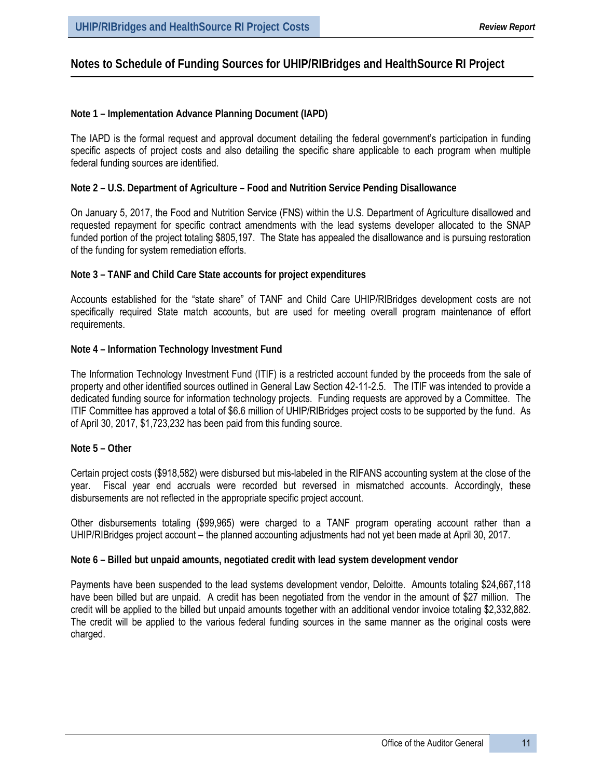# **Notes to Schedule of Funding Sources for UHIP/RIBridges and HealthSource RI Project**

#### **Note 1 – Implementation Advance Planning Document (IAPD)**

The IAPD is the formal request and approval document detailing the federal government's participation in funding specific aspects of project costs and also detailing the specific share applicable to each program when multiple federal funding sources are identified.

#### **Note 2 – U.S. Department of Agriculture – Food and Nutrition Service Pending Disallowance**

On January 5, 2017, the Food and Nutrition Service (FNS) within the U.S. Department of Agriculture disallowed and requested repayment for specific contract amendments with the lead systems developer allocated to the SNAP funded portion of the project totaling \$805,197. The State has appealed the disallowance and is pursuing restoration of the funding for system remediation efforts.

#### **Note 3 – TANF and Child Care State accounts for project expenditures**

Accounts established for the "state share" of TANF and Child Care UHIP/RIBridges development costs are not specifically required State match accounts, but are used for meeting overall program maintenance of effort requirements.

#### **Note 4 – Information Technology Investment Fund**

The Information Technology Investment Fund (ITIF) is a restricted account funded by the proceeds from the sale of property and other identified sources outlined in General Law Section 42-11-2.5. The ITIF was intended to provide a dedicated funding source for information technology projects. Funding requests are approved by a Committee. The ITIF Committee has approved a total of \$6.6 million of UHIP/RIBridges project costs to be supported by the fund. As of April 30, 2017, \$1,723,232 has been paid from this funding source.

#### **Note 5 – Other**

Certain project costs (\$918,582) were disbursed but mis-labeled in the RIFANS accounting system at the close of the year. Fiscal year end accruals were recorded but reversed in mismatched accounts. Accordingly, these disbursements are not reflected in the appropriate specific project account.

Other disbursements totaling (\$99,965) were charged to a TANF program operating account rather than a UHIP/RIBridges project account – the planned accounting adjustments had not yet been made at April 30, 2017.

#### **Note 6 – Billed but unpaid amounts, negotiated credit with lead system development vendor**

Payments have been suspended to the lead systems development vendor, Deloitte. Amounts totaling \$24,667,118 have been billed but are unpaid. A credit has been negotiated from the vendor in the amount of \$27 million. The credit will be applied to the billed but unpaid amounts together with an additional vendor invoice totaling \$2,332,882. The credit will be applied to the various federal funding sources in the same manner as the original costs were charged.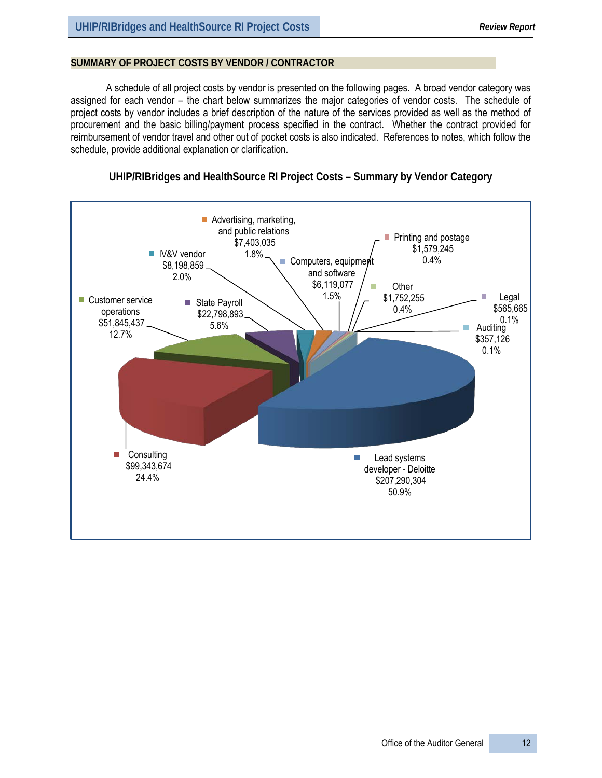### **SUMMARY OF PROJECT COSTS BY VENDOR / CONTRACTOR**

A schedule of all project costs by vendor is presented on the following pages. A broad vendor category was assigned for each vendor – the chart below summarizes the major categories of vendor costs. The schedule of project costs by vendor includes a brief description of the nature of the services provided as well as the method of procurement and the basic billing/payment process specified in the contract. Whether the contract provided for reimbursement of vendor travel and other out of pocket costs is also indicated. References to notes, which follow the schedule, provide additional explanation or clarification.



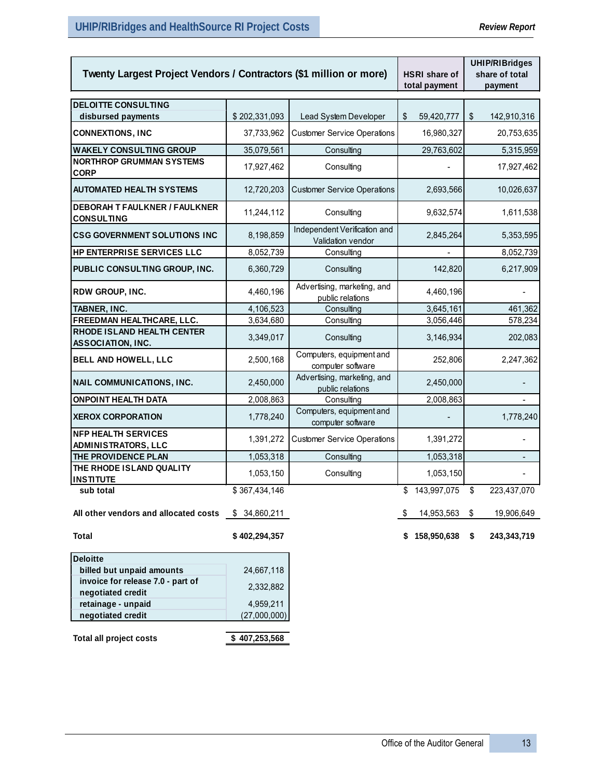| Twenty Largest Project Vendors / Contractors (\$1 million or more) | HSRI share of    | <b>UHIP/RIBridges</b><br>share of total           |                   |                   |
|--------------------------------------------------------------------|------------------|---------------------------------------------------|-------------------|-------------------|
|                                                                    |                  |                                                   | total payment     | payment           |
| <b>DELOITTE CONSULTING</b>                                         |                  |                                                   |                   |                   |
| disbursed payments                                                 | \$202,331,093    | Lead System Developer                             | 59,420,777<br>\$  | \$<br>142,910,316 |
| <b>CONNEXTIONS, INC</b>                                            | 37,733,962       | <b>Customer Service Operations</b>                | 16,980,327        | 20,753,635        |
| <b>WAKELY CONSULTING GROUP</b>                                     | 35,079,561       | Consulting                                        | 29,763,602        | 5,315,959         |
| <b>NORTHROP GRUMMAN SYSTEMS</b><br>CORP                            | 17,927,462       | Consulting                                        |                   | 17,927,462        |
| <b>AUTOMATED HEALTH SYSTEMS</b>                                    | 12,720,203       | <b>Customer Service Operations</b>                | 2,693,566         | 10,026,637        |
| <b>DEBORAH T FAULKNER / FAULKNER</b><br>CONSULTING                 | 11,244,112       | Consulting                                        | 9,632,574         | 1,611,538         |
| <b>CSG GOVERNMENT SOLUTIONS INC</b>                                | 8,198,859        | Independent Verification and<br>Validation vendor | 2,845,264         | 5,353,595         |
| HP ENTERPRISE SERVICES LLC                                         | 8,052,739        | Consulting                                        |                   | 8,052,739         |
| PUBLIC CONSULTING GROUP, INC.                                      | 6,360,729        | Consulting                                        | 142,820           | 6,217,909         |
| RDW GROUP, INC.                                                    | 4,460,196        | Advertising, marketing, and<br>public relations   | 4,460,196         |                   |
| TABNER, INC.                                                       | 4,106,523        | Consulting                                        | 3,645,161         | 461,362           |
| FREEDMAN HEALTHCARE, LLC.                                          | 3,634,680        | Consulting                                        | 3,056,446         | 578,234           |
| RHODE ISLAND HEALTH CENTER<br>ASSOCIATION, INC.                    | 3,349,017        | Consulting                                        | 3,146,934         | 202,083           |
| BELL AND HOWELL, LLC                                               | 2,500,168        | Computers, equipment and<br>computer software     | 252,806           | 2,247,362         |
| NAIL COMMUNICATIONS, INC.                                          | 2,450,000        | Advertising, marketing, and<br>public relations   | 2,450,000         |                   |
| <b>ONPOINT HEALTH DATA</b>                                         | 2,008,863        | Consulting                                        | 2,008,863         |                   |
| <b>XEROX CORPORATION</b>                                           | 1,778,240        | Computers, equipment and<br>computer software     |                   | 1,778,240         |
| <b>NFP HEALTH SERVICES</b><br>ADMINISTRATORS, LLC                  | 1,391,272        | <b>Customer Service Operations</b>                | 1,391,272         |                   |
| THE PROVIDENCE PLAN                                                | 1,053,318        | Consulting                                        | 1,053,318         |                   |
| THE RHODE ISLAND QUALITY<br><b>INSTITUTE</b>                       | 1,053,150        | Consulting                                        | 1,053,150         |                   |
| sub total                                                          | \$367,434,146    |                                                   | 143,997,075<br>\$ | \$<br>223,437,070 |
| All other vendors and allocated costs                              | 34,860,211<br>\$ |                                                   | 14,953,563<br>\$  | 19,906,649<br>\$  |
| Total                                                              | \$402,294,357    |                                                   | \$158,950,638     | \$<br>243,343,719 |
| <b>Deloitte</b>                                                    |                  |                                                   |                   |                   |
| billed but unpaid amounts                                          | 24,667,118       |                                                   |                   |                   |
| invoice for release 7.0 - part of                                  |                  |                                                   |                   |                   |
| negotiated credit                                                  | 2,332,882        |                                                   |                   |                   |
| retainage - unpaid                                                 | 4,959,211        |                                                   |                   |                   |
| negotiated credit                                                  | (27,000,000)     |                                                   |                   |                   |
| Total all project costs                                            | \$407,253,568    |                                                   |                   |                   |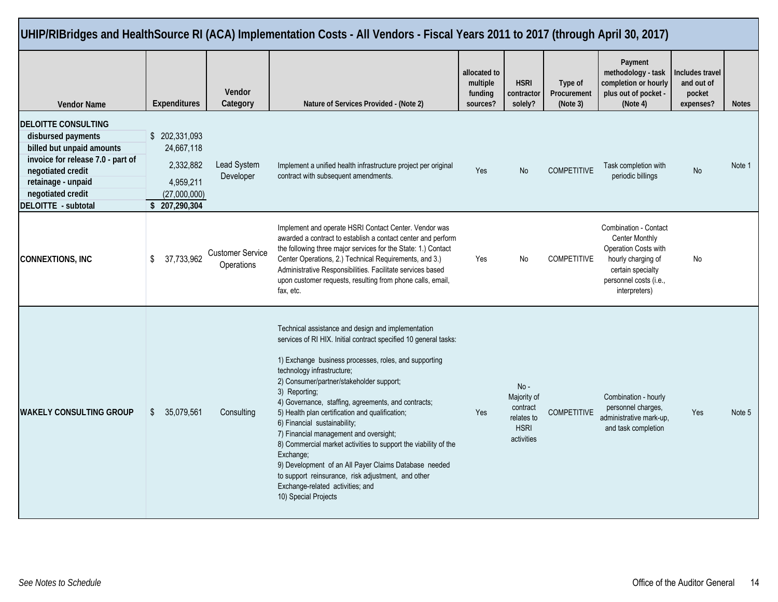|                                                                                                                                                                                                           |                                                                                         |                                       | UHIP/RIBridges and HealthSource RI (ACA) Implementation Costs - All Vendors - Fiscal Years 2011 to 2017 (through April 30, 2017)                                                                                                                                                                                                                                                                                                                                                                                                                                                                                                                                                                                          |                                                 |                                                                              |                                    |                                                                                                                                                              |                                                             |              |
|-----------------------------------------------------------------------------------------------------------------------------------------------------------------------------------------------------------|-----------------------------------------------------------------------------------------|---------------------------------------|---------------------------------------------------------------------------------------------------------------------------------------------------------------------------------------------------------------------------------------------------------------------------------------------------------------------------------------------------------------------------------------------------------------------------------------------------------------------------------------------------------------------------------------------------------------------------------------------------------------------------------------------------------------------------------------------------------------------------|-------------------------------------------------|------------------------------------------------------------------------------|------------------------------------|--------------------------------------------------------------------------------------------------------------------------------------------------------------|-------------------------------------------------------------|--------------|
| <b>Vendor Name</b>                                                                                                                                                                                        | <b>Expenditures</b>                                                                     | Vendor<br>Category                    | Nature of Services Provided - (Note 2)                                                                                                                                                                                                                                                                                                                                                                                                                                                                                                                                                                                                                                                                                    | allocated to<br>multiple<br>funding<br>sources? | <b>HSRI</b><br>contractor<br>solely?                                         | Type of<br>Procurement<br>(Note 3) | Payment<br>methodology - task<br>completion or hourly<br>plus out of pocket -<br>(Note 4)                                                                    | <b>Includes travel</b><br>and out of<br>pocket<br>expenses? | <b>Notes</b> |
| <b>DELOITTE CONSULTING</b><br>disbursed payments<br>billed but unpaid amounts<br>invoice for release 7.0 - part of<br>negotiated credit<br>retainage - unpaid<br>negotiated credit<br>DELOITTE - subtotal | \$ 202,331,093<br>24,667,118<br>2,332,882<br>4,959,211<br>(27,000,000)<br>\$207,290,304 | Lead System<br>Developer              | Implement a unified health infrastructure project per original<br>contract with subsequent amendments.                                                                                                                                                                                                                                                                                                                                                                                                                                                                                                                                                                                                                    | Yes                                             | <b>No</b>                                                                    | <b>COMPETITIVE</b>                 | Task completion with<br>periodic billings                                                                                                                    | <b>No</b>                                                   | Note 1       |
| <b>CONNEXTIONS, INC</b>                                                                                                                                                                                   | \$<br>37,733,962                                                                        | <b>Customer Service</b><br>Operations | Implement and operate HSRI Contact Center. Vendor was<br>awarded a contract to establish a contact center and perform<br>the following three major services for the State: 1.) Contact<br>Center Operations, 2.) Technical Requirements, and 3.)<br>Administrative Responsibilities. Facilitate services based<br>upon customer requests, resulting from phone calls, email,<br>fax, etc.                                                                                                                                                                                                                                                                                                                                 | Yes                                             | No                                                                           | <b>COMPETITIVE</b>                 | Combination - Contact<br><b>Center Monthly</b><br>Operation Costs with<br>hourly charging of<br>certain specialty<br>personnel costs (i.e.,<br>interpreters) | No                                                          |              |
| <b>WAKELY CONSULTING GROUP</b>                                                                                                                                                                            | \$<br>35,079,561                                                                        | Consulting                            | Technical assistance and design and implementation<br>services of RI HIX. Initial contract specified 10 general tasks:<br>1) Exchange business processes, roles, and supporting<br>technology infrastructure;<br>2) Consumer/partner/stakeholder support;<br>3) Reporting;<br>4) Governance, staffing, agreements, and contracts;<br>5) Health plan certification and qualification;<br>6) Financial sustainability;<br>7) Financial management and oversight;<br>8) Commercial market activities to support the viability of the<br>Exchange;<br>9) Development of an All Payer Claims Database needed<br>to support reinsurance, risk adjustment, and other<br>Exchange-related activities; and<br>10) Special Projects | Yes                                             | $No -$<br>Majority of<br>contract<br>relates to<br><b>HSRI</b><br>activities | <b>COMPETITIVE</b>                 | Combination - hourly<br>personnel charges,<br>administrative mark-up,<br>and task completion                                                                 | Yes                                                         | Note 5       |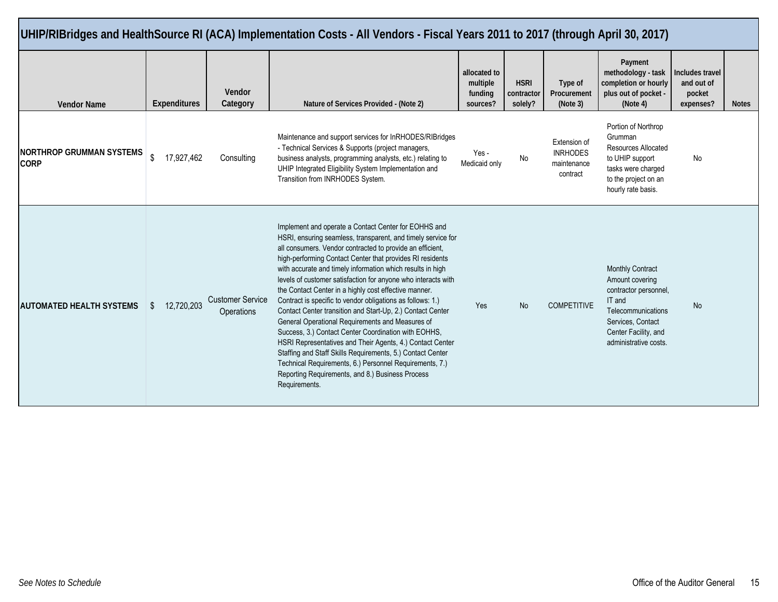|                                                |                              |                                       | UHIP/RIBridges and HealthSource RI (ACA) Implementation Costs - All Vendors - Fiscal Years 2011 to 2017 (through April 30, 2017)                                                                                                                                                                                                                                                                                                                                                                                                                                                                                                                                                                                                                                                                                                                                                                                                          |                                                 |                                      |                                                            |                                                                                                                                                                           |                                                      |              |
|------------------------------------------------|------------------------------|---------------------------------------|-------------------------------------------------------------------------------------------------------------------------------------------------------------------------------------------------------------------------------------------------------------------------------------------------------------------------------------------------------------------------------------------------------------------------------------------------------------------------------------------------------------------------------------------------------------------------------------------------------------------------------------------------------------------------------------------------------------------------------------------------------------------------------------------------------------------------------------------------------------------------------------------------------------------------------------------|-------------------------------------------------|--------------------------------------|------------------------------------------------------------|---------------------------------------------------------------------------------------------------------------------------------------------------------------------------|------------------------------------------------------|--------------|
| <b>Vendor Name</b>                             | <b>Expenditures</b>          | Vendor<br>Category                    | Nature of Services Provided - (Note 2)                                                                                                                                                                                                                                                                                                                                                                                                                                                                                                                                                                                                                                                                                                                                                                                                                                                                                                    | allocated to<br>multiple<br>funding<br>sources? | <b>HSRI</b><br>contractor<br>solely? | Type of<br>Procurement<br>(Note 3)                         | Payment<br>methodology - task<br>completion or hourly<br>plus out of pocket -<br>(Note 4)                                                                                 | Includes travel<br>and out of<br>pocket<br>expenses? | <b>Notes</b> |
| <b>NORTHROP GRUMMAN SYSTEMS</b><br><b>CORP</b> | $\mathfrak{L}$<br>17,927,462 | Consulting                            | Maintenance and support services for InRHODES/RIBridges<br>- Technical Services & Supports (project managers,<br>business analysts, programming analysts, etc.) relating to<br>UHIP Integrated Eligibility System Implementation and<br>Transition from INRHODES System.                                                                                                                                                                                                                                                                                                                                                                                                                                                                                                                                                                                                                                                                  | Yes -<br>Medicaid only                          | No                                   | Extension of<br><b>INRHODES</b><br>maintenance<br>contract | Portion of Northrop<br>Grumman<br>Resources Allocated<br>to UHIP support<br>tasks were charged<br>to the project on an<br>hourly rate basis.                              | No                                                   |              |
| <b>AUTOMATED HEALTH SYSTEMS</b>                | 12,720,203<br>\$.            | <b>Customer Service</b><br>Operations | Implement and operate a Contact Center for EOHHS and<br>HSRI, ensuring seamless, transparent, and timely service for<br>all consumers. Vendor contracted to provide an efficient,<br>high-performing Contact Center that provides RI residents<br>with accurate and timely information which results in high<br>levels of customer satisfaction for anyone who interacts with<br>the Contact Center in a highly cost effective manner.<br>Contract is specific to vendor obligations as follows: 1.)<br>Contact Center transition and Start-Up, 2.) Contact Center<br>General Operational Requirements and Measures of<br>Success, 3.) Contact Center Coordination with EOHHS,<br>HSRI Representatives and Their Agents, 4.) Contact Center<br>Staffing and Staff Skills Requirements, 5.) Contact Center<br>Technical Requirements, 6.) Personnel Requirements, 7.)<br>Reporting Requirements, and 8.) Business Process<br>Requirements. | Yes                                             | <b>No</b>                            | <b>COMPETITIVE</b>                                         | <b>Monthly Contract</b><br>Amount covering<br>contractor personnel,<br>IT and<br>Telecommunications<br>Services, Contact<br>Center Facility, and<br>administrative costs. | <b>No</b>                                            |              |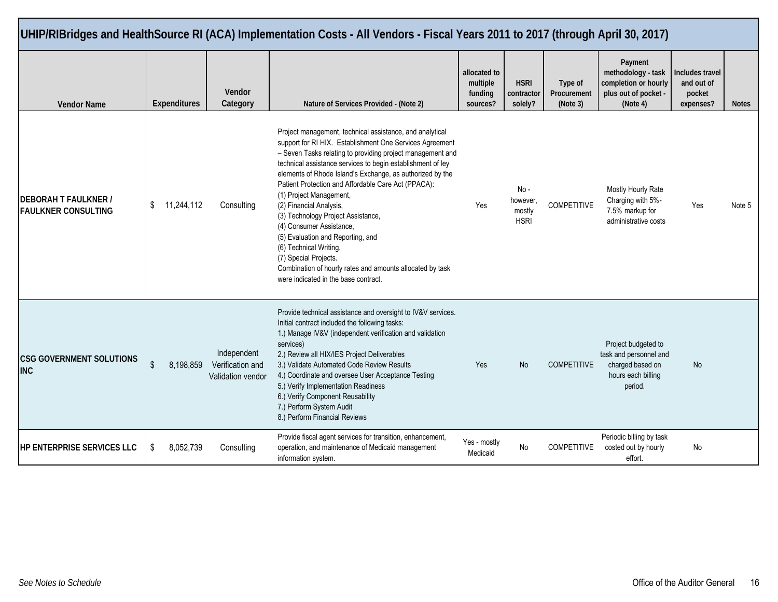| UHIP/RIBridges and HealthSource RI (ACA) Implementation Costs - All Vendors - Fiscal Years 2011 to 2017 (through April 30, 2017) |                |                     |                                                      |                                                                                                                                                                                                                                                                                                                                                                                                                                                                                                                                                                                                                                                                                            |                                                 |                                          |                                    |                                                                                                    |                                                      |              |  |  |
|----------------------------------------------------------------------------------------------------------------------------------|----------------|---------------------|------------------------------------------------------|--------------------------------------------------------------------------------------------------------------------------------------------------------------------------------------------------------------------------------------------------------------------------------------------------------------------------------------------------------------------------------------------------------------------------------------------------------------------------------------------------------------------------------------------------------------------------------------------------------------------------------------------------------------------------------------------|-------------------------------------------------|------------------------------------------|------------------------------------|----------------------------------------------------------------------------------------------------|------------------------------------------------------|--------------|--|--|
| <b>Vendor Name</b>                                                                                                               |                | <b>Expenditures</b> | Vendor<br>Category                                   | Nature of Services Provided - (Note 2)                                                                                                                                                                                                                                                                                                                                                                                                                                                                                                                                                                                                                                                     | allocated to<br>multiple<br>funding<br>sources? | <b>HSRI</b><br>contractor<br>solely?     | Type of<br>Procurement<br>(Note 3) | Payment<br>methodology - task<br>completion or hourly<br>plus out of pocket -<br>(Note 4)          | Includes travel<br>and out of<br>pocket<br>expenses? | <b>Notes</b> |  |  |
| <b>DEBORAH T FAULKNER /</b><br><b>FAULKNER CONSULTING</b>                                                                        | \$             | 11,244,112          | Consulting                                           | Project management, technical assistance, and analytical<br>support for RI HIX. Establishment One Services Agreement<br>- Seven Tasks relating to providing project management and<br>technical assistance services to begin establishment of ley<br>elements of Rhode Island's Exchange, as authorized by the<br>Patient Protection and Affordable Care Act (PPACA):<br>(1) Project Management,<br>(2) Financial Analysis,<br>(3) Technology Project Assistance,<br>(4) Consumer Assistance,<br>(5) Evaluation and Reporting, and<br>(6) Technical Writing,<br>(7) Special Projects.<br>Combination of hourly rates and amounts allocated by task<br>were indicated in the base contract. | Yes                                             | No -<br>however<br>mostly<br><b>HSRI</b> | <b>COMPETITIVE</b>                 | Mostly Hourly Rate<br>Charging with 5%-<br>7.5% markup for<br>administrative costs                 | Yes                                                  | Note 5       |  |  |
| <b>CSG GOVERNMENT SOLUTIONS</b><br><b>INC</b>                                                                                    | $\mathfrak{L}$ | 8,198,859           | Independent<br>Verification and<br>Validation vendor | Provide technical assistance and oversight to IV&V services.<br>Initial contract included the following tasks:<br>1.) Manage IV&V (independent verification and validation<br>services)<br>2.) Review all HIX/IES Project Deliverables<br>3.) Validate Automated Code Review Results<br>4.) Coordinate and oversee User Acceptance Testing<br>5.) Verify Implementation Readiness<br>6.) Verify Component Reusability<br>7.) Perform System Audit<br>8.) Perform Financial Reviews                                                                                                                                                                                                         | Yes                                             | <b>No</b>                                | <b>COMPETITIVE</b>                 | Project budgeted to<br>task and personnel and<br>charged based on<br>hours each billing<br>period. | <b>No</b>                                            |              |  |  |
| HP ENTERPRISE SERVICES LLC                                                                                                       | S              | 8,052,739           | Consulting                                           | Provide fiscal agent services for transition, enhancement,<br>operation, and maintenance of Medicaid management<br>information system.                                                                                                                                                                                                                                                                                                                                                                                                                                                                                                                                                     | Yes - mostly<br>Medicaid                        | No.                                      | <b>COMPETITIVE</b>                 | Periodic billing by task<br>costed out by hourly<br>effort.                                        | No                                                   |              |  |  |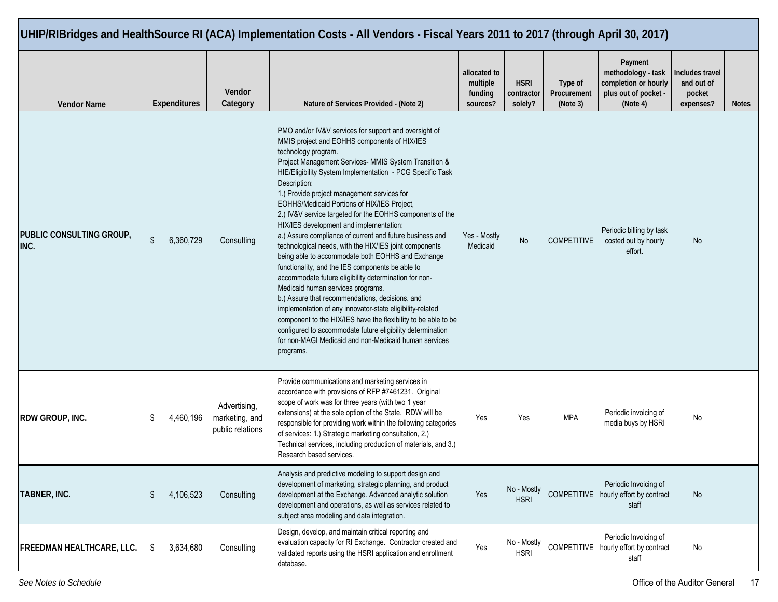|                                  |                     |                                                    | UHIP/RIBridges and HealthSource RI (ACA) Implementation Costs - All Vendors - Fiscal Years 2011 to 2017 (through April 30, 2017)                                                                                                                                                                                                                                                                                                                                                                                                                                                                                                                                                                                                                                                                                                                                                                                                                                                                                                                                                                                            |                                                 |                                      |                                    |                                                                                           |                                                      |              |
|----------------------------------|---------------------|----------------------------------------------------|-----------------------------------------------------------------------------------------------------------------------------------------------------------------------------------------------------------------------------------------------------------------------------------------------------------------------------------------------------------------------------------------------------------------------------------------------------------------------------------------------------------------------------------------------------------------------------------------------------------------------------------------------------------------------------------------------------------------------------------------------------------------------------------------------------------------------------------------------------------------------------------------------------------------------------------------------------------------------------------------------------------------------------------------------------------------------------------------------------------------------------|-------------------------------------------------|--------------------------------------|------------------------------------|-------------------------------------------------------------------------------------------|------------------------------------------------------|--------------|
| <b>Vendor Name</b>               | <b>Expenditures</b> | Vendor<br>Category                                 | Nature of Services Provided - (Note 2)                                                                                                                                                                                                                                                                                                                                                                                                                                                                                                                                                                                                                                                                                                                                                                                                                                                                                                                                                                                                                                                                                      | allocated to<br>multiple<br>funding<br>sources? | <b>HSRI</b><br>contractor<br>solely? | Type of<br>Procurement<br>(Note 3) | Payment<br>methodology - task<br>completion or hourly<br>plus out of pocket -<br>(Note 4) | Includes travel<br>and out of<br>pocket<br>expenses? | <b>Notes</b> |
| PUBLIC CONSULTING GROUP,<br>INC. | \$<br>6,360,729     | Consulting                                         | PMO and/or IV&V services for support and oversight of<br>MMIS project and EOHHS components of HIX/IES<br>technology program.<br>Project Management Services- MMIS System Transition &<br>HIE/Eligibility System Implementation - PCG Specific Task<br>Description:<br>1.) Provide project management services for<br>EOHHS/Medicaid Portions of HIX/IES Project,<br>2.) IV&V service targeted for the EOHHS components of the<br>HIX/IES development and implementation:<br>a.) Assure compliance of current and future business and<br>technological needs, with the HIX/IES joint components<br>being able to accommodate both EOHHS and Exchange<br>functionality, and the IES components be able to<br>accommodate future eligibility determination for non-<br>Medicaid human services programs.<br>b.) Assure that recommendations, decisions, and<br>implementation of any innovator-state eligibility-related<br>component to the HIX/IES have the flexibility to be able to be<br>configured to accommodate future eligibility determination<br>for non-MAGI Medicaid and non-Medicaid human services<br>programs. | Yes - Mostly<br>Medicaid                        | No                                   | <b>COMPETITIVE</b>                 | Periodic billing by task<br>costed out by hourly<br>effort.                               | No                                                   |              |
| RDW GROUP, INC.                  | \$<br>4,460,196     | Advertising,<br>marketing, and<br>public relations | Provide communications and marketing services in<br>accordance with provisions of RFP #7461231. Original<br>scope of work was for three years (with two 1 year<br>extensions) at the sole option of the State. RDW will be<br>responsible for providing work within the following categories<br>of services: 1.) Strategic marketing consultation, 2.)<br>Technical services, including production of materials, and 3.)<br>Research based services.                                                                                                                                                                                                                                                                                                                                                                                                                                                                                                                                                                                                                                                                        | Yes                                             | Yes                                  | <b>MPA</b>                         | Periodic invoicing of<br>media buys by HSRI                                               | No                                                   |              |
| TABNER, INC.                     | \$<br>4,106,523     | Consulting                                         | Analysis and predictive modeling to support design and<br>development of marketing, strategic planning, and product<br>development at the Exchange. Advanced analytic solution<br>development and operations, as well as services related to<br>subject area modeling and data integration.                                                                                                                                                                                                                                                                                                                                                                                                                                                                                                                                                                                                                                                                                                                                                                                                                                 | Yes                                             | No - Mostly<br><b>HSRI</b>           |                                    | Periodic Invoicing of<br>COMPETITIVE hourly effort by contract<br>staff                   | No                                                   |              |
| <b>FREEDMAN HEALTHCARE, LLC.</b> | \$<br>3,634,680     | Consulting                                         | Design, develop, and maintain critical reporting and<br>evaluation capacity for RI Exchange. Contractor created and<br>validated reports using the HSRI application and enrollment<br>database.                                                                                                                                                                                                                                                                                                                                                                                                                                                                                                                                                                                                                                                                                                                                                                                                                                                                                                                             | Yes                                             | No - Mostly<br><b>HSRI</b>           |                                    | Periodic Invoicing of<br>COMPETITIVE hourly effort by contract<br>staff                   | No                                                   |              |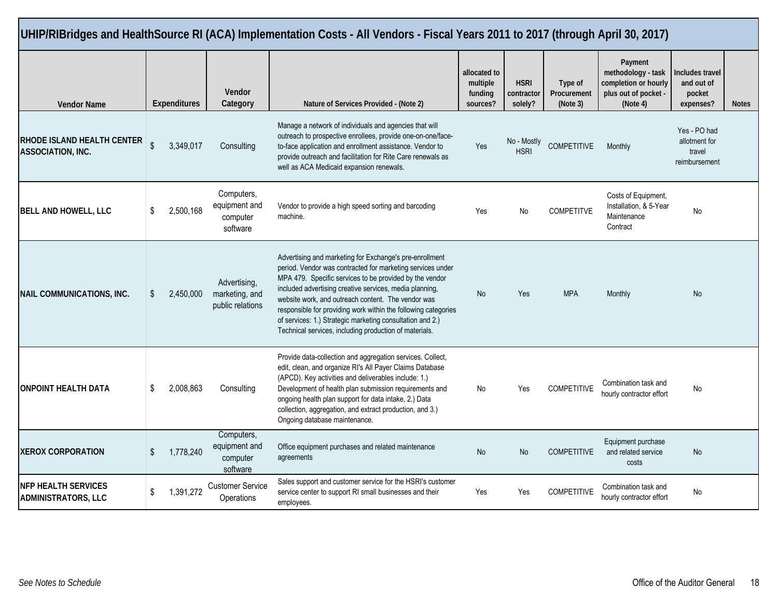| UHIP/RIBridges and HealthSource RI (ACA) Implementation Costs - All Vendors - Fiscal Years 2011 to 2017 (through April 30, 2017) |              |                     |                                                     |                                                                                                                                                                                                                                                                                                                                                                                                                                                                                            |                                                 |                                      |                                    |                                                                                           |                                                          |              |  |  |  |
|----------------------------------------------------------------------------------------------------------------------------------|--------------|---------------------|-----------------------------------------------------|--------------------------------------------------------------------------------------------------------------------------------------------------------------------------------------------------------------------------------------------------------------------------------------------------------------------------------------------------------------------------------------------------------------------------------------------------------------------------------------------|-------------------------------------------------|--------------------------------------|------------------------------------|-------------------------------------------------------------------------------------------|----------------------------------------------------------|--------------|--|--|--|
| <b>Vendor Name</b>                                                                                                               |              | <b>Expenditures</b> | Vendor<br>Category                                  | Nature of Services Provided - (Note 2)                                                                                                                                                                                                                                                                                                                                                                                                                                                     | allocated to<br>multiple<br>funding<br>sources? | <b>HSRI</b><br>contractor<br>solely? | Type of<br>Procurement<br>(Note 3) | Payment<br>methodology - task<br>completion or hourly<br>plus out of pocket -<br>(Note 4) | Includes travel<br>and out of<br>pocket<br>expenses?     | <b>Notes</b> |  |  |  |
| RHODE ISLAND HEALTH CENTER<br><b>ASSOCIATION, INC.</b>                                                                           | $\mathbb{S}$ | 3,349,017           | Consulting                                          | Manage a network of individuals and agencies that will<br>outreach to prospective enrollees, provide one-on-one/face-<br>to-face application and enrollment assistance. Vendor to<br>provide outreach and facilitation for Rite Care renewals as<br>well as ACA Medicaid expansion renewals.                                                                                                                                                                                               | Yes                                             | No - Mostly<br><b>HSRI</b>           | <b>COMPETITIVE</b>                 | Monthly                                                                                   | Yes - PO had<br>allotment for<br>travel<br>reimbursement |              |  |  |  |
| <b>BELL AND HOWELL, LLC</b>                                                                                                      | \$           | 2,500,168           | Computers,<br>equipment and<br>computer<br>software | Vendor to provide a high speed sorting and barcoding<br>machine.                                                                                                                                                                                                                                                                                                                                                                                                                           | Yes                                             | No                                   | <b>COMPETITVE</b>                  | Costs of Equipment,<br>Installation, & 5-Year<br>Maintenance<br>Contract                  | No                                                       |              |  |  |  |
| <b>NAIL COMMUNICATIONS, INC.</b>                                                                                                 | \$           | 2,450,000           | Advertising,<br>marketing, and<br>public relations  | Advertising and marketing for Exchange's pre-enrollment<br>period. Vendor was contracted for marketing services under<br>MPA 479. Specific services to be provided by the vendor<br>included advertising creative services, media planning,<br>website work, and outreach content. The vendor was<br>responsible for providing work within the following categories<br>of services: 1.) Strategic marketing consultation and 2.)<br>Technical services, including production of materials. | <b>No</b>                                       | Yes                                  | <b>MPA</b>                         | Monthly                                                                                   | No                                                       |              |  |  |  |
| <b>ONPOINT HEALTH DATA</b>                                                                                                       | \$           | 2,008,863           | Consulting                                          | Provide data-collection and aggregation services. Collect,<br>edit, clean, and organize RI's All Payer Claims Database<br>(APCD). Key activities and deliverables include: 1.)<br>Development of health plan submission requirements and<br>ongoing health plan support for data intake, 2.) Data<br>collection, aggregation, and extract production, and 3.)<br>Ongoing database maintenance.                                                                                             | No                                              | Yes                                  | <b>COMPETITIVE</b>                 | Combination task and<br>hourly contractor effort                                          | No                                                       |              |  |  |  |
| <b>XEROX CORPORATION</b>                                                                                                         | \$           | 1,778,240           | Computers,<br>equipment and<br>computer<br>software | Office equipment purchases and related maintenance<br>agreements                                                                                                                                                                                                                                                                                                                                                                                                                           | <b>No</b>                                       | <b>No</b>                            | <b>COMPETITIVE</b>                 | Equipment purchase<br>and related service<br>costs                                        | No                                                       |              |  |  |  |
| <b>NFP HEALTH SERVICES</b><br><b>ADMINISTRATORS, LLC</b>                                                                         | \$           | 1,391,272           | <b>Customer Service</b><br>Operations               | Sales support and customer service for the HSRI's customer<br>service center to support RI small businesses and their<br>employees.                                                                                                                                                                                                                                                                                                                                                        | Yes                                             | Yes                                  | <b>COMPETITIVE</b>                 | Combination task and<br>hourly contractor effort                                          | No                                                       |              |  |  |  |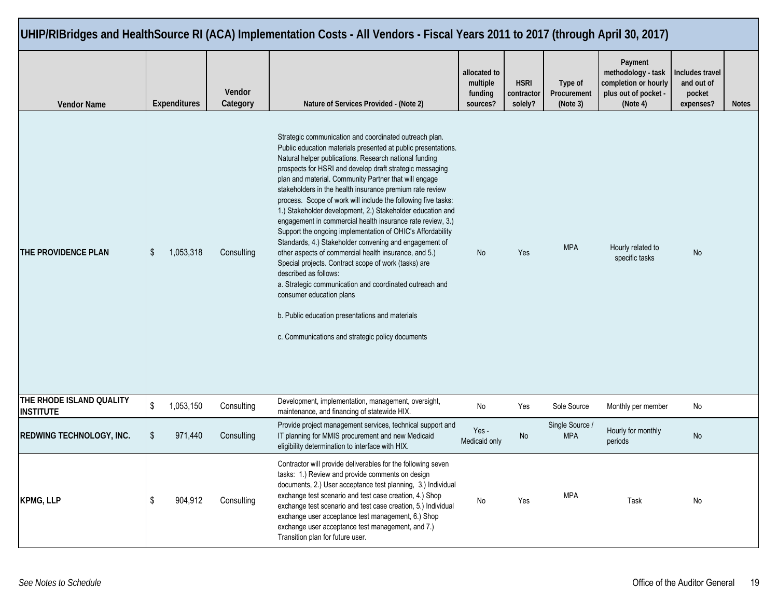| UHIP/RIBridges and HealthSource RI (ACA) Implementation Costs - All Vendors - Fiscal Years 2011 to 2017 (through April 30, 2017) |                     |                    |  |                                                                                                                                                                                                                                                                                                                                                                                                                                                                                                                                                                                                                                                                                                                                                                                                                                                                                                                                                                                                                                 |                                                 |                                      |                                    |                                                                                           |                                                      |              |
|----------------------------------------------------------------------------------------------------------------------------------|---------------------|--------------------|--|---------------------------------------------------------------------------------------------------------------------------------------------------------------------------------------------------------------------------------------------------------------------------------------------------------------------------------------------------------------------------------------------------------------------------------------------------------------------------------------------------------------------------------------------------------------------------------------------------------------------------------------------------------------------------------------------------------------------------------------------------------------------------------------------------------------------------------------------------------------------------------------------------------------------------------------------------------------------------------------------------------------------------------|-------------------------------------------------|--------------------------------------|------------------------------------|-------------------------------------------------------------------------------------------|------------------------------------------------------|--------------|
| <b>Vendor Name</b>                                                                                                               | <b>Expenditures</b> | Vendor<br>Category |  | Nature of Services Provided - (Note 2)                                                                                                                                                                                                                                                                                                                                                                                                                                                                                                                                                                                                                                                                                                                                                                                                                                                                                                                                                                                          | allocated to<br>multiple<br>funding<br>sources? | <b>HSRI</b><br>contractor<br>solely? | Type of<br>Procurement<br>(Note 3) | Payment<br>methodology - task<br>completion or hourly<br>plus out of pocket -<br>(Note 4) | Includes travel<br>and out of<br>pocket<br>expenses? | <b>Notes</b> |
| THE PROVIDENCE PLAN                                                                                                              | 1,053,318<br>S      | Consulting         |  | Strategic communication and coordinated outreach plan.<br>Public education materials presented at public presentations.<br>Natural helper publications. Research national funding<br>prospects for HSRI and develop draft strategic messaging<br>plan and material. Community Partner that will engage<br>stakeholders in the health insurance premium rate review<br>process. Scope of work will include the following five tasks:<br>1.) Stakeholder development, 2.) Stakeholder education and<br>engagement in commercial health insurance rate review, 3.)<br>Support the ongoing implementation of OHIC's Affordability<br>Standards, 4.) Stakeholder convening and engagement of<br>other aspects of commercial health insurance, and 5.)<br>Special projects. Contract scope of work (tasks) are<br>described as follows:<br>a. Strategic communication and coordinated outreach and<br>consumer education plans<br>b. Public education presentations and materials<br>c. Communications and strategic policy documents | No                                              | Yes                                  | <b>MPA</b>                         | Hourly related to<br>specific tasks                                                       | No                                                   |              |
| THE RHODE ISLAND QUALITY<br><b>INSTITUTE</b>                                                                                     | \$<br>1,053,150     | Consulting         |  | Development, implementation, management, oversight,<br>maintenance, and financing of statewide HIX.                                                                                                                                                                                                                                                                                                                                                                                                                                                                                                                                                                                                                                                                                                                                                                                                                                                                                                                             | No                                              | Yes                                  | Sole Source                        | Monthly per member                                                                        | No                                                   |              |
| REDWING TECHNOLOGY, INC.                                                                                                         | \$<br>971,440       | Consulting         |  | Provide project management services, technical support and<br>IT planning for MMIS procurement and new Medicaid<br>eligibility determination to interface with HIX.                                                                                                                                                                                                                                                                                                                                                                                                                                                                                                                                                                                                                                                                                                                                                                                                                                                             | Yes -<br>Medicaid only                          | No                                   | Single Source /<br><b>MPA</b>      | Hourly for monthly<br>periods                                                             | No                                                   |              |
| <b>KPMG, LLP</b>                                                                                                                 | \$<br>904,912       | Consulting         |  | Contractor will provide deliverables for the following seven<br>tasks: 1.) Review and provide comments on design<br>documents, 2.) User acceptance test planning, 3.) Individual<br>exchange test scenario and test case creation, 4.) Shop<br>exchange test scenario and test case creation, 5.) Individual<br>exchange user acceptance test management, 6.) Shop<br>exchange user acceptance test management, and 7.)<br>Transition plan for future user.                                                                                                                                                                                                                                                                                                                                                                                                                                                                                                                                                                     | No                                              | Yes                                  | MPA                                | Task                                                                                      | No                                                   |              |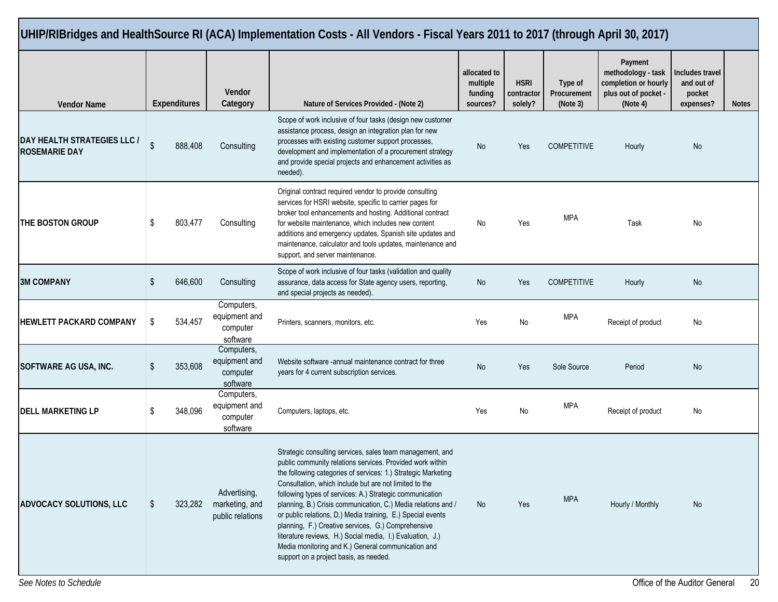| UHIP/RIBridges and HealthSource RI (ACA) Implementation Costs - All Vendors - Fiscal Years 2011 to 2017 (through April 30, 2017) |                             |                     |                                                                                                                                                                                                                                                                                                                                                                                                        |                                                                                                                                                                                                                                                                                                                                                                                                                                                                                                                                                                                                                                                                  |                                                 |                                      |                                    |                                                                                           |                                                      |              |
|----------------------------------------------------------------------------------------------------------------------------------|-----------------------------|---------------------|--------------------------------------------------------------------------------------------------------------------------------------------------------------------------------------------------------------------------------------------------------------------------------------------------------------------------------------------------------------------------------------------------------|------------------------------------------------------------------------------------------------------------------------------------------------------------------------------------------------------------------------------------------------------------------------------------------------------------------------------------------------------------------------------------------------------------------------------------------------------------------------------------------------------------------------------------------------------------------------------------------------------------------------------------------------------------------|-------------------------------------------------|--------------------------------------|------------------------------------|-------------------------------------------------------------------------------------------|------------------------------------------------------|--------------|
| <b>Vendor Name</b>                                                                                                               |                             | <b>Expenditures</b> | Vendor<br>Category                                                                                                                                                                                                                                                                                                                                                                                     | Nature of Services Provided - (Note 2)                                                                                                                                                                                                                                                                                                                                                                                                                                                                                                                                                                                                                           | allocated to<br>multiple<br>funding<br>sources? | <b>HSRI</b><br>contractor<br>solely? | Type of<br>Procurement<br>(Note 3) | Payment<br>methodology - task<br>completion or hourly<br>plus out of pocket -<br>(Note 4) | Includes travel<br>and out of<br>pocket<br>expenses? | <b>Notes</b> |
| DAY HEALTH STRATEGIES LLC /<br><b>ROSEMARIE DAY</b>                                                                              | $\mathbb{S}$                | 888,408             | Consulting                                                                                                                                                                                                                                                                                                                                                                                             | Scope of work inclusive of four tasks (design new customer<br>assistance process, design an integration plan for new<br>processes with existing customer support processes,<br>development and implementation of a procurement strategy<br>and provide special projects and enhancement activities as<br>needed).                                                                                                                                                                                                                                                                                                                                                | No                                              | Yes                                  | <b>COMPETITIVE</b>                 | Hourly                                                                                    | No                                                   |              |
| THE BOSTON GROUP                                                                                                                 | \$<br>803,477<br>Consulting |                     | Original contract required vendor to provide consulting<br>services for HSRI website, specific to carrier pages for<br>broker tool enhancements and hosting. Additional contract<br>for website maintenance, which includes new content<br>additions and emergency updates, Spanish site updates and<br>maintenance, calculator and tools updates, maintenance and<br>support, and server maintenance. | No                                                                                                                                                                                                                                                                                                                                                                                                                                                                                                                                                                                                                                                               | Yes                                             | <b>MPA</b>                           | Task                               | No                                                                                        |                                                      |              |
| <b>3M COMPANY</b>                                                                                                                | \$                          | 646,600             | Consulting                                                                                                                                                                                                                                                                                                                                                                                             | Scope of work inclusive of four tasks (validation and quality<br>assurance, data access for State agency users, reporting,<br>and special projects as needed).                                                                                                                                                                                                                                                                                                                                                                                                                                                                                                   | No                                              | Yes                                  | <b>COMPETITIVE</b>                 | Hourly                                                                                    | No                                                   |              |
| HEWLETT PACKARD COMPANY                                                                                                          | \$                          | 534,457             | Computers,<br>equipment and<br>computer<br>software                                                                                                                                                                                                                                                                                                                                                    | Printers, scanners, monitors, etc.                                                                                                                                                                                                                                                                                                                                                                                                                                                                                                                                                                                                                               | Yes                                             | No                                   | MPA                                | Receipt of product                                                                        | No                                                   |              |
| SOFTWARE AG USA, INC.                                                                                                            | \$                          | 353,608             | Computers,<br>equipment and<br>computer<br>software                                                                                                                                                                                                                                                                                                                                                    | Website software -annual maintenance contract for three<br>years for 4 current subscription services.                                                                                                                                                                                                                                                                                                                                                                                                                                                                                                                                                            | No                                              | Yes                                  | Sole Source                        | Period                                                                                    | No                                                   |              |
| <b>DELL MARKETING LP</b>                                                                                                         | \$                          | 348,096             | Computers,<br>equipment and<br>computer<br>software                                                                                                                                                                                                                                                                                                                                                    | Computers, laptops, etc.                                                                                                                                                                                                                                                                                                                                                                                                                                                                                                                                                                                                                                         | Yes                                             | No                                   | <b>MPA</b>                         | Receipt of product                                                                        | No                                                   |              |
| <b>ADVOCACY SOLUTIONS, LLC</b>                                                                                                   | \$                          | 323,282             | Advertising,<br>marketing, and<br>public relations                                                                                                                                                                                                                                                                                                                                                     | Strategic consulting services, sales team management, and<br>public community relations services. Provided work within<br>the following categories of services: 1.) Strategic Marketing<br>Consultation, which include but are not limited to the<br>following types of services: A.) Strategic communication<br>planning, B.) Crisis communication, C.) Media relations and /<br>or public relations, D.) Media training, E.) Special events<br>planning, F.) Creative services, G.) Comprehensive<br>literature reviews, H.) Social media, I.) Evaluation, J.)<br>Media monitoring and K.) General communication and<br>support on a project basis, as needed. | No                                              | Yes                                  | <b>MPA</b>                         | Hourly / Monthly                                                                          | No                                                   |              |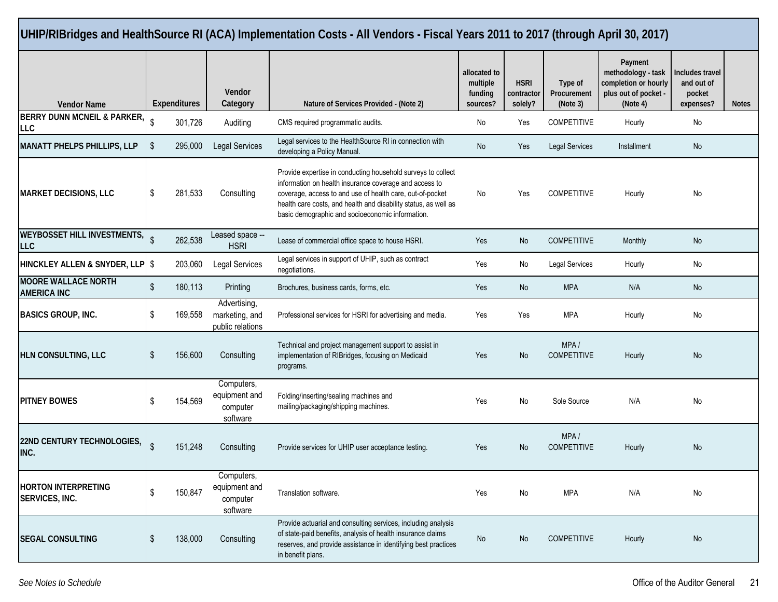|                                                  |                                                        |                                                     | UHIP/RIBridges and HealthSource RI (ACA) Implementation Costs - All Vendors - Fiscal Years 2011 to 2017 (through April 30, 2017)                                                                                                                                                                           |                                                 |                                      |                                    |                                                                                           |                                                      |              |
|--------------------------------------------------|--------------------------------------------------------|-----------------------------------------------------|------------------------------------------------------------------------------------------------------------------------------------------------------------------------------------------------------------------------------------------------------------------------------------------------------------|-------------------------------------------------|--------------------------------------|------------------------------------|-------------------------------------------------------------------------------------------|------------------------------------------------------|--------------|
| <b>Vendor Name</b>                               | Expenditures                                           | Vendor<br>Category                                  | Nature of Services Provided - (Note 2)                                                                                                                                                                                                                                                                     | allocated to<br>multiple<br>funding<br>sources? | <b>HSRI</b><br>contractor<br>solely? | Type of<br>Procurement<br>(Note 3) | Payment<br>methodology - task<br>completion or hourly<br>plus out of pocket -<br>(Note 4) | Includes travel<br>and out of<br>pocket<br>expenses? | <b>Notes</b> |
| <b>BERRY DUNN MCNEIL &amp; PARKER,</b><br>LLC    | \$<br>301,726                                          | Auditing                                            | CMS required programmatic audits.                                                                                                                                                                                                                                                                          | No                                              | Yes                                  | <b>COMPETITIVE</b>                 | Hourly                                                                                    | No                                                   |              |
| <b>MANATT PHELPS PHILLIPS, LLP</b>               | \$<br>295,000                                          | Legal Services                                      | Legal services to the HealthSource RI in connection with<br>developing a Policy Manual.                                                                                                                                                                                                                    | No                                              | Yes                                  | <b>Legal Services</b>              | Installment                                                                               | No                                                   |              |
| <b>MARKET DECISIONS, LLC</b>                     | \$<br>281,533                                          | Consulting                                          | Provide expertise in conducting household surveys to collect<br>information on health insurance coverage and access to<br>coverage, access to and use of health care, out-of-pocket<br>health care costs, and health and disability status, as well as<br>basic demographic and socioeconomic information. | No                                              | Yes                                  | <b>COMPETITIVE</b>                 | Hourly                                                                                    | No                                                   |              |
| <b>WEYBOSSET HILL INVESTMENTS,</b><br><b>LLC</b> | Leased space --<br>$\hat{S}$<br>262,538<br><b>HSRI</b> |                                                     | Lease of commercial office space to house HSRI.                                                                                                                                                                                                                                                            | Yes                                             | No                                   | <b>COMPETITIVE</b>                 | Monthly                                                                                   | No                                                   |              |
| HINCKLEY ALLEN & SNYDER, LLP \$                  | 203,060                                                | Legal Services                                      | Legal services in support of UHIP, such as contract<br>negotiations.                                                                                                                                                                                                                                       | Yes                                             | No                                   | Legal Services                     | Hourly                                                                                    | No                                                   |              |
| <b>MOORE WALLACE NORTH</b><br><b>AMERICA INC</b> | \$<br>180,113                                          | Printing                                            | Brochures, business cards, forms, etc.                                                                                                                                                                                                                                                                     | Yes                                             | No                                   | <b>MPA</b>                         | N/A                                                                                       | No                                                   |              |
| <b>BASICS GROUP, INC.</b>                        | \$<br>169,558                                          | Advertising,<br>marketing, and<br>public relations  | Professional services for HSRI for advertising and media.                                                                                                                                                                                                                                                  | Yes                                             | Yes                                  | <b>MPA</b>                         | Hourly                                                                                    | No                                                   |              |
| HLN CONSULTING, LLC                              | S<br>156,600                                           | Consulting                                          | Technical and project management support to assist in<br>implementation of RIBridges, focusing on Medicaid<br>programs.                                                                                                                                                                                    | Yes                                             | <b>No</b>                            | MPA/<br><b>COMPETITIVE</b>         | Hourly                                                                                    | No                                                   |              |
| <b>PITNEY BOWES</b>                              | 154,569<br>\$                                          | Computers,<br>equipment and<br>computer<br>software | Folding/inserting/sealing machines and<br>mailing/packaging/shipping machines.                                                                                                                                                                                                                             | Yes                                             | No                                   | Sole Source                        | N/A                                                                                       | No                                                   |              |
| 22ND CENTURY TECHNOLOGIES,<br>INC.               | $\mathbb{S}$<br>151,248                                | Consulting                                          | Provide services for UHIP user acceptance testing.                                                                                                                                                                                                                                                         | Yes                                             | No                                   | MPA/<br><b>COMPETITIVE</b>         | Hourly                                                                                    | No                                                   |              |
| <b>HORTON INTERPRETING</b><br>SERVICES, INC.     | \$<br>150,847                                          | Computers,<br>equipment and<br>computer<br>software | Translation software.                                                                                                                                                                                                                                                                                      | Yes                                             | No                                   | <b>MPA</b>                         | N/A                                                                                       | No                                                   |              |
| <b>SEGAL CONSULTING</b>                          | 138,000<br>\$                                          | Consulting                                          | Provide actuarial and consulting services, including analysis<br>of state-paid benefits, analysis of health insurance claims<br>reserves, and provide assistance in identifying best practices<br>in benefit plans.                                                                                        | No                                              | No                                   | <b>COMPETITIVE</b>                 | Hourly                                                                                    | No                                                   |              |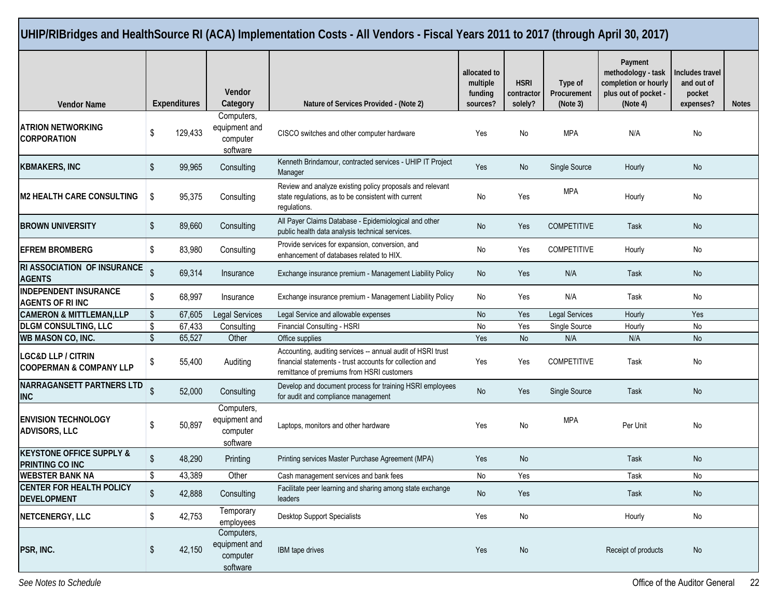|                                                          |                                                                                                   |                                                                                             |                                                                                                          | UHIP/RIBridges and HealthSource RI (ACA) Implementation Costs - All Vendors - Fiscal Years 2011 to 2017 (through April 30, 2017)                                      |                                                 |                                      |                                    |                                                                                           |                                                      |              |
|----------------------------------------------------------|---------------------------------------------------------------------------------------------------|---------------------------------------------------------------------------------------------|----------------------------------------------------------------------------------------------------------|-----------------------------------------------------------------------------------------------------------------------------------------------------------------------|-------------------------------------------------|--------------------------------------|------------------------------------|-------------------------------------------------------------------------------------------|------------------------------------------------------|--------------|
| <b>Vendor Name</b>                                       |                                                                                                   | <b>Expenditures</b>                                                                         | <b>Vendor</b><br>Category                                                                                | Nature of Services Provided - (Note 2)                                                                                                                                | allocated to<br>multiple<br>funding<br>sources? | <b>HSRI</b><br>contractor<br>solely? | Type of<br>Procurement<br>(Note 3) | Payment<br>methodology - task<br>completion or hourly<br>plus out of pocket -<br>(Note 4) | Includes travel<br>and out of<br>pocket<br>expenses? | <b>Notes</b> |
| <b>ATRION NETWORKING</b><br><b>CORPORATION</b>           | \$                                                                                                | 129,433                                                                                     | Computers,<br>equipment and<br>computer<br>software                                                      | CISCO switches and other computer hardware                                                                                                                            | Yes                                             | No                                   | <b>MPA</b>                         | N/A                                                                                       | No                                                   |              |
| <b>KBMAKERS, INC</b>                                     | \$                                                                                                | 99,965                                                                                      | Consulting                                                                                               | Kenneth Brindamour, contracted services - UHIP IT Project<br>Manager                                                                                                  | Yes                                             | No                                   | Single Source                      | Hourly                                                                                    | No                                                   |              |
| <b>M2 HEALTH CARE CONSULTING</b>                         | \$<br>95,375<br>Consulting<br>state regulations, as to be consistent with current<br>regulations. |                                                                                             | Review and analyze existing policy proposals and relevant                                                | No                                                                                                                                                                    | Yes                                             | <b>MPA</b>                           | Hourly                             | No                                                                                        |                                                      |              |
| <b>BROWN UNIVERSITY</b>                                  | \$<br>89,660<br>Consulting                                                                        |                                                                                             | All Payer Claims Database - Epidemiological and other<br>public health data analysis technical services. | No                                                                                                                                                                    | Yes                                             | <b>COMPETITIVE</b>                   | Task                               | No                                                                                        |                                                      |              |
| <b>EFREM BROMBERG</b><br>\$<br>83,980<br>Consulting      |                                                                                                   | Provide services for expansion, conversion, and<br>enhancement of databases related to HIX. | No                                                                                                       | Yes                                                                                                                                                                   | <b>COMPETITIVE</b>                              | Hourly                               | No                                 |                                                                                           |                                                      |              |
| RI ASSOCIATION OF INSURANCE<br><b>AGENTS</b>             | \$<br>69,314<br>Insurance                                                                         |                                                                                             | Exchange insurance premium - Management Liability Policy                                                 | No                                                                                                                                                                    | Yes                                             | N/A                                  | Task                               | No                                                                                        |                                                      |              |
| <b>INDEPENDENT INSURANCE</b><br><b>AGENTS OF RIINC</b>   | \$                                                                                                | 68,997                                                                                      | Insurance                                                                                                | Exchange insurance premium - Management Liability Policy                                                                                                              |                                                 | Yes                                  | N/A                                | Task                                                                                      | No                                                   |              |
| <b>CAMERON &amp; MITTLEMAN,LLP</b>                       | \$                                                                                                | 67,605                                                                                      | <b>Legal Services</b>                                                                                    | Legal Service and allowable expenses                                                                                                                                  | No                                              | Yes                                  | <b>Legal Services</b>              | Hourly                                                                                    | Yes                                                  |              |
| <b>DLGM CONSULTING, LLC</b>                              | \$                                                                                                | 67,433                                                                                      | Consulting                                                                                               | Financial Consulting - HSRI                                                                                                                                           | No                                              | Yes                                  | Single Source                      | Hourly                                                                                    | No                                                   |              |
| WB MASON CO, INC.                                        | \$                                                                                                | 65,527                                                                                      | Other                                                                                                    | Office supplies                                                                                                                                                       | Yes                                             | No                                   | N/A                                | N/A                                                                                       | No                                                   |              |
| LGC&D LLP / CITRIN<br><b>COOPERMAN &amp; COMPANY LLP</b> | \$                                                                                                | 55,400                                                                                      | Auditing                                                                                                 | Accounting, auditing services -- annual audit of HSRI trust<br>financial statements - trust accounts for collection and<br>remittance of premiums from HSRI customers | Yes                                             | Yes                                  | <b>COMPETITIVE</b>                 | Task                                                                                      | No                                                   |              |
| NARRAGANSETT PARTNERS LTD<br>INC                         | $\mathbb{S}$                                                                                      | 52,000                                                                                      | Consulting                                                                                               | Develop and document process for training HSRI employees<br>for audit and compliance management                                                                       | No                                              | Yes                                  | Single Source                      | Task                                                                                      | No                                                   |              |
| <b>ENVISION TECHNOLOGY</b><br>ADVISORS, LLC              | \$                                                                                                | 50,897                                                                                      | Computers,<br>equipment and<br>computer<br>software                                                      | Laptops, monitors and other hardware                                                                                                                                  | Yes                                             | No                                   | MPA                                | Per Unit                                                                                  | No                                                   |              |
| <b>KEYSTONE OFFICE SUPPLY &amp;</b><br>PRINTING CO INC   | \$                                                                                                | 48,290                                                                                      | Printing                                                                                                 | Printing services Master Purchase Agreement (MPA)                                                                                                                     | Yes                                             | No                                   |                                    | Task                                                                                      | No                                                   |              |
| <b>WEBSTER BANK NA</b>                                   | \$                                                                                                | 43,389                                                                                      | Other                                                                                                    | Cash management services and bank fees                                                                                                                                | No                                              | Yes                                  |                                    | Task                                                                                      | No                                                   |              |
| <b>CENTER FOR HEALTH POLICY</b><br><b>DEVELOPMENT</b>    | \$                                                                                                | 42,888                                                                                      | Consulting                                                                                               | Facilitate peer learning and sharing among state exchange<br>leaders                                                                                                  | No                                              | Yes                                  |                                    | Task                                                                                      | No                                                   |              |
| NETCENERGY, LLC                                          | \$                                                                                                | 42,753                                                                                      | Temporary<br>employees                                                                                   | Desktop Support Specialists                                                                                                                                           | Yes                                             | $\mathsf{No}$                        |                                    | Hourly                                                                                    | No                                                   |              |
| PSR, INC.                                                | \$                                                                                                | 42,150                                                                                      | Computers,<br>equipment and<br>computer<br>software                                                      | IBM tape drives                                                                                                                                                       | Yes                                             | No                                   |                                    | Receipt of products                                                                       | No                                                   |              |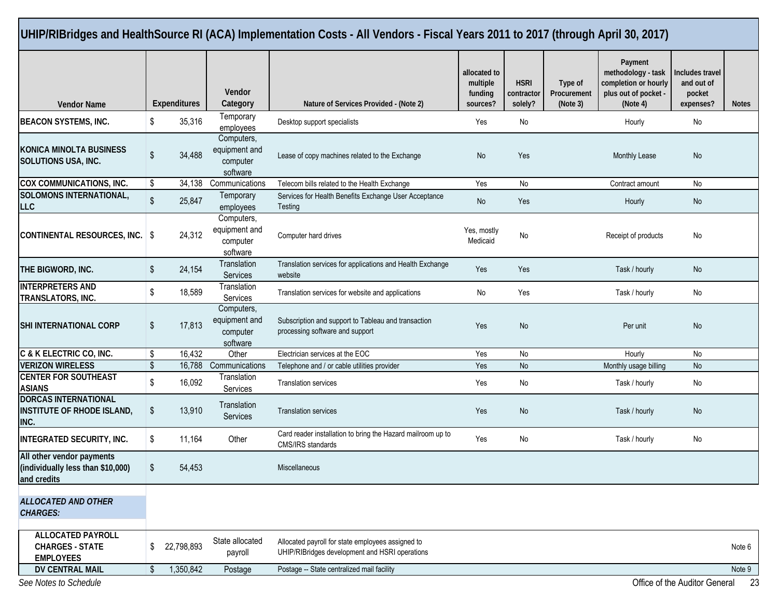|                                                                               |                                                                       |              |                                                                       | UHIP/RIBridges and HealthSource RI (ACA) Implementation Costs - All Vendors - Fiscal Years 2011 to 2017 (through April 30, 2017) |                                                 |                                      |                                    |                                                                                           |                                                      |              |
|-------------------------------------------------------------------------------|-----------------------------------------------------------------------|--------------|-----------------------------------------------------------------------|----------------------------------------------------------------------------------------------------------------------------------|-------------------------------------------------|--------------------------------------|------------------------------------|-------------------------------------------------------------------------------------------|------------------------------------------------------|--------------|
| <b>Vendor Name</b>                                                            |                                                                       | Expenditures | <b>Vendor</b><br>Category                                             | Nature of Services Provided - (Note 2)                                                                                           | allocated to<br>multiple<br>funding<br>sources? | <b>HSRI</b><br>contractor<br>solely? | Type of<br>Procurement<br>(Note 3) | Payment<br>methodology - task<br>completion or hourly<br>plus out of pocket -<br>(Note 4) | Includes travel<br>and out of<br>pocket<br>expenses? | <b>Notes</b> |
| <b>BEACON SYSTEMS, INC.</b>                                                   | \$                                                                    | 35,316       | Temporary<br>employees                                                | Desktop support specialists                                                                                                      | Yes                                             | No                                   |                                    | Hourly                                                                                    | No                                                   |              |
| <b>KONICA MINOLTA BUSINESS</b><br><b>SOLUTIONS USA, INC.</b>                  | Computers,<br>equipment and<br>\$<br>34,488<br>computer<br>software   |              | Lease of copy machines related to the Exchange                        | No                                                                                                                               | Yes                                             |                                      | Monthly Lease                      | No                                                                                        |                                                      |              |
| COX COMMUNICATIONS, INC.                                                      | \$                                                                    |              | 34,138 Communications<br>Telecom bills related to the Health Exchange |                                                                                                                                  | Yes                                             | No                                   |                                    | Contract amount                                                                           | No                                                   |              |
| SOLOMONS INTERNATIONAL,<br><b>LLC</b>                                         | $\sqrt[6]{\frac{1}{2}}$                                               | 25,847       | Temporary<br>employees                                                | Services for Health Benefits Exchange User Acceptance<br>Testing                                                                 | No                                              | Yes                                  |                                    | Hourly                                                                                    | No                                                   |              |
| CONTINENTAL RESOURCES, INC.                                                   | Computers,<br>equipment and<br>24,312<br>- \$<br>computer<br>software |              | Computer hard drives                                                  | Yes, mostly<br>Medicaid                                                                                                          | No                                              |                                      | Receipt of products                | No                                                                                        |                                                      |              |
| THE BIGWORD, INC.                                                             | Translation<br>\$<br>24,154<br>Services                               |              | Translation services for applications and Health Exchange<br>website  | Yes                                                                                                                              | Yes                                             |                                      | Task / hourly                      | No                                                                                        |                                                      |              |
| <b>INTERPRETERS AND</b><br>TRANSLATORS, INC.                                  | \$                                                                    | 18,589       | Translation<br>Services                                               | Translation services for website and applications                                                                                | No                                              | Yes                                  |                                    | Task / hourly                                                                             | No                                                   |              |
| <b>SHI INTERNATIONAL CORP</b>                                                 | Computers,<br>equipment and<br>\$<br>17,813<br>computer               |              | software                                                              | Subscription and support to Tableau and transaction<br>processing software and support                                           | Yes                                             | No                                   |                                    | Per unit                                                                                  | No                                                   |              |
| C & K ELECTRIC CO, INC.                                                       | \$                                                                    | 16,432       | Other                                                                 | Electrician services at the EOC                                                                                                  | Yes                                             | No                                   |                                    | Hourly                                                                                    | No                                                   |              |
| <b>VERIZON WIRELESS</b>                                                       | \$.                                                                   | 16,788       | Communications                                                        | Telephone and / or cable utilities provider                                                                                      | Yes                                             | <b>No</b>                            |                                    | Monthly usage billing                                                                     | No                                                   |              |
| <b>CENTER FOR SOUTHEAST</b><br><b>ASIANS</b>                                  | \$                                                                    | 16,092       | Translation<br>Services                                               | <b>Translation services</b>                                                                                                      | Yes                                             | No                                   |                                    | Task / hourly                                                                             | No                                                   |              |
| <b>DORCAS INTERNATIONAL</b><br><b>INSTITUTE OF RHODE ISLAND,</b><br>INC.      | \$                                                                    | 13,910       | Translation<br>Services                                               | <b>Translation services</b>                                                                                                      | Yes                                             | No                                   |                                    | Task / hourly                                                                             | No                                                   |              |
| <b>INTEGRATED SECURITY, INC.</b>                                              | \$                                                                    | 11,164       | Other                                                                 | Card reader installation to bring the Hazard mailroom up to<br>CMS/IRS standards                                                 | Yes                                             | No                                   |                                    | Task / hourly                                                                             | No                                                   |              |
| All other vendor payments<br>(individually less than \$10,000)<br>and credits | \$                                                                    | 54,453       |                                                                       | Miscellaneous                                                                                                                    |                                                 |                                      |                                    |                                                                                           |                                                      |              |
| <b>ALLOCATED AND OTHER</b><br><b>CHARGES:</b>                                 |                                                                       |              |                                                                       |                                                                                                                                  |                                                 |                                      |                                    |                                                                                           |                                                      |              |
| <b>ALLOCATED PAYROLL</b><br><b>CHARGES - STATE</b><br><b>EMPLOYEES</b>        | \$                                                                    | 22,798,893   | State allocated<br>payroll                                            | Allocated payroll for state employees assigned to<br>UHIP/RIBridges development and HSRI operations                              |                                                 |                                      |                                    |                                                                                           |                                                      | Note 6       |
| DV CENTRAL MAIL                                                               | \$                                                                    | 1,350,842    | Postage                                                               | Postage -- State centralized mail facility                                                                                       |                                                 |                                      |                                    |                                                                                           |                                                      | Note 9       |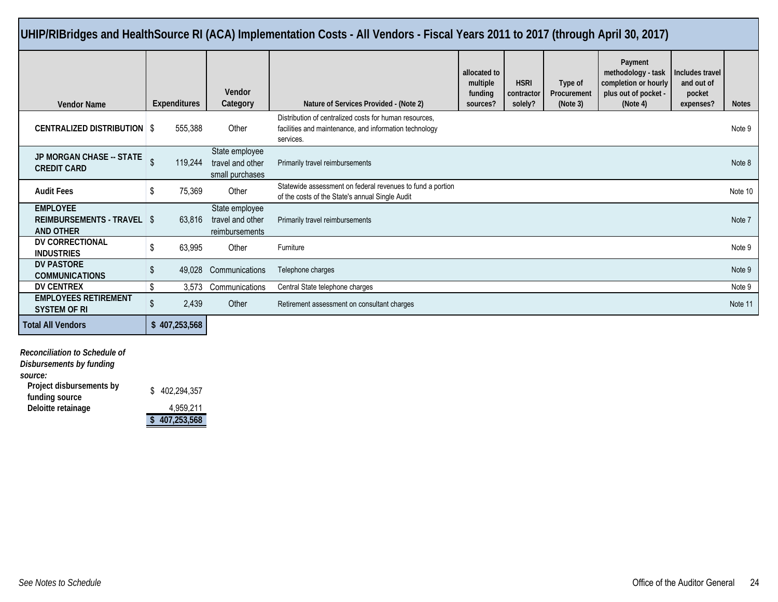| UHIP/RIBridges and HealthSource RI (ACA) Implementation Costs - All Vendors - Fiscal Years 2011 to 2017 (through April 30, 2017) |                         |                                                                                                                                        |                                                                                                               |                                                 |                                      |                                    |                                                                                           |                                                      |              |
|----------------------------------------------------------------------------------------------------------------------------------|-------------------------|----------------------------------------------------------------------------------------------------------------------------------------|---------------------------------------------------------------------------------------------------------------|-------------------------------------------------|--------------------------------------|------------------------------------|-------------------------------------------------------------------------------------------|------------------------------------------------------|--------------|
| <b>Vendor Name</b>                                                                                                               | <b>Expenditures</b>     | Vendor<br>Category                                                                                                                     | Nature of Services Provided - (Note 2)                                                                        | allocated to<br>multiple<br>funding<br>sources? | <b>HSRI</b><br>contractor<br>solely? | Type of<br>Procurement<br>(Note 3) | Payment<br>methodology - task<br>completion or hourly<br>plus out of pocket -<br>(Note 4) | Includes travel<br>and out of<br>pocket<br>expenses? | <b>Notes</b> |
| <b>CENTRALIZED DISTRIBUTION \$</b>                                                                                               | 555.388                 | Distribution of centralized costs for human resources.<br>Other<br>facilities and maintenance, and information technology<br>services. |                                                                                                               |                                                 | Note 9                               |                                    |                                                                                           |                                                      |              |
| <b>JP MORGAN CHASE -- STATE</b><br><b>CREDIT CARD</b>                                                                            | 119.244                 | State employee<br>travel and other<br>small purchases                                                                                  | Primarily travel reimbursements                                                                               |                                                 |                                      |                                    | Note 8                                                                                    |                                                      |              |
| <b>Audit Fees</b>                                                                                                                | 75,369<br>S.            | Other                                                                                                                                  | Statewide assessment on federal revenues to fund a portion<br>of the costs of the State's annual Single Audit |                                                 |                                      | Note 10                            |                                                                                           |                                                      |              |
| <b>EMPLOYEE</b><br>REIMBURSEMENTS - TRAVEL   \$<br><b>AND OTHER</b>                                                              | 63.816                  | State employee<br>travel and other<br>reimbursements                                                                                   | Primarily travel reimbursements                                                                               |                                                 |                                      |                                    |                                                                                           |                                                      | Note 7       |
| DV CORRECTIONAL<br><b>INDUSTRIES</b>                                                                                             | 63,995                  | Other                                                                                                                                  | Furniture                                                                                                     |                                                 |                                      |                                    |                                                                                           |                                                      | Note 9       |
| <b>DV PASTORE</b><br><b>COMMUNICATIONS</b>                                                                                       | S.<br>49.028            | Communications<br>Telephone charges                                                                                                    |                                                                                                               |                                                 | Note 9                               |                                    |                                                                                           |                                                      |              |
| <b>DV CENTREX</b>                                                                                                                | 3.573                   | Communications                                                                                                                         | Central State telephone charges                                                                               |                                                 |                                      |                                    |                                                                                           |                                                      | Note 9       |
| <b>EMPLOYEES RETIREMENT</b><br><b>SYSTEM OF RI</b>                                                                               | $\mathfrak{L}$<br>2,439 | Other                                                                                                                                  | Retirement assessment on consultant charges                                                                   |                                                 |                                      | Note 11                            |                                                                                           |                                                      |              |
| <b>Total All Vendors</b>                                                                                                         | \$407,253,568           |                                                                                                                                        |                                                                                                               |                                                 |                                      |                                    |                                                                                           |                                                      |              |

*Reconciliation to Schedule of Disbursements by funding source:* **Project disbursements by funding source**<br> **funding source**<br> **funding source**<br> **funding source**<br> **funding source**<br> **funding to the stainage**<br> **funding to the stainage**<br> **funding to the stainage Deloitte retainage** 

**\$ 407,253,568**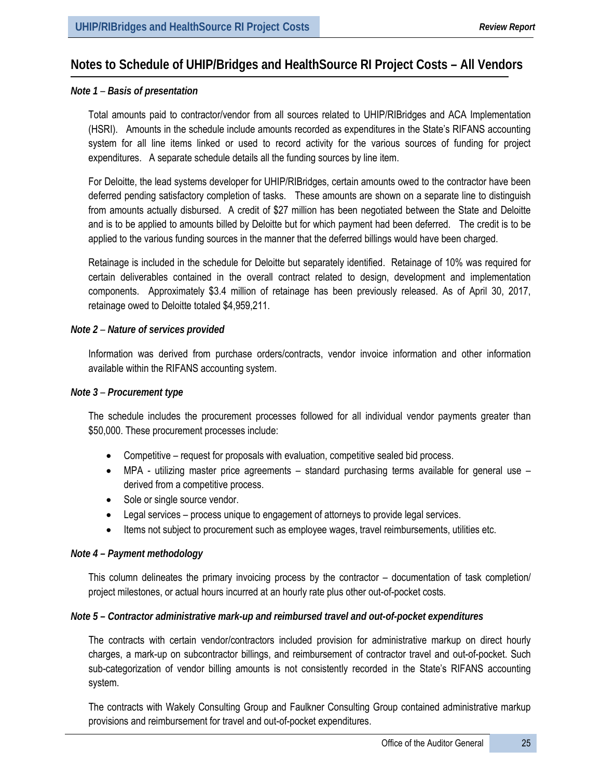# **Notes to Schedule of UHIP/Bridges and HealthSource RI Project Costs – All Vendors**

## *Note 1* – *Basis of presentation*

Total amounts paid to contractor/vendor from all sources related to UHIP/RIBridges and ACA Implementation (HSRI). Amounts in the schedule include amounts recorded as expenditures in the State's RIFANS accounting system for all line items linked or used to record activity for the various sources of funding for project expenditures. A separate schedule details all the funding sources by line item.

For Deloitte, the lead systems developer for UHIP/RIBridges, certain amounts owed to the contractor have been deferred pending satisfactory completion of tasks. These amounts are shown on a separate line to distinguish from amounts actually disbursed. A credit of \$27 million has been negotiated between the State and Deloitte and is to be applied to amounts billed by Deloitte but for which payment had been deferred. The credit is to be applied to the various funding sources in the manner that the deferred billings would have been charged.

Retainage is included in the schedule for Deloitte but separately identified. Retainage of 10% was required for certain deliverables contained in the overall contract related to design, development and implementation components. Approximately \$3.4 million of retainage has been previously released. As of April 30, 2017, retainage owed to Deloitte totaled \$4,959,211.

### *Note 2* – *Nature of services provided*

Information was derived from purchase orders/contracts, vendor invoice information and other information available within the RIFANS accounting system.

#### *Note 3* – *Procurement type*

The schedule includes the procurement processes followed for all individual vendor payments greater than \$50,000. These procurement processes include:

- Competitive request for proposals with evaluation, competitive sealed bid process.
- MPA utilizing master price agreements standard purchasing terms available for general use derived from a competitive process.
- Sole or single source vendor.
- Legal services process unique to engagement of attorneys to provide legal services.
- Items not subject to procurement such as employee wages, travel reimbursements, utilities etc.

#### *Note 4 – Payment methodology*

This column delineates the primary invoicing process by the contractor – documentation of task completion/ project milestones, or actual hours incurred at an hourly rate plus other out-of-pocket costs.

#### *Note 5 – Contractor administrative mark-up and reimbursed travel and out-of-pocket expenditures*

The contracts with certain vendor/contractors included provision for administrative markup on direct hourly charges, a mark-up on subcontractor billings, and reimbursement of contractor travel and out-of-pocket. Such sub-categorization of vendor billing amounts is not consistently recorded in the State's RIFANS accounting system.

The contracts with Wakely Consulting Group and Faulkner Consulting Group contained administrative markup provisions and reimbursement for travel and out-of-pocket expenditures.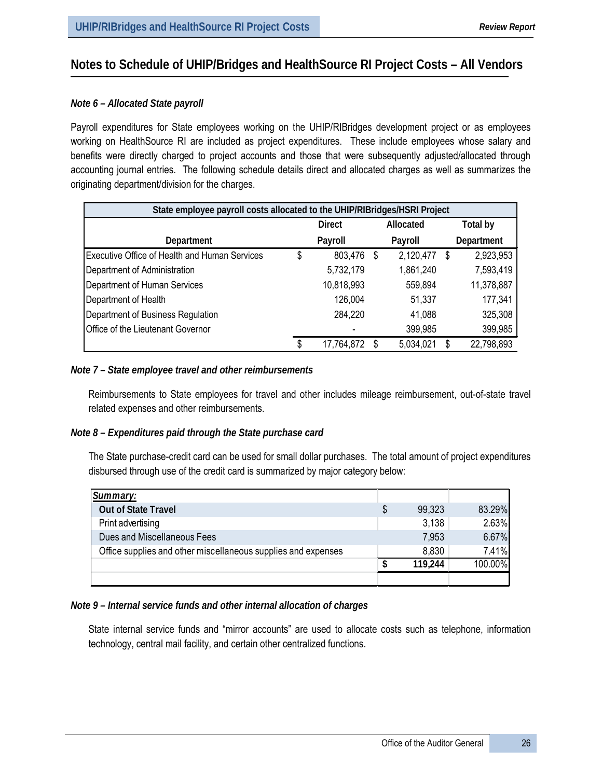# **Notes to Schedule of UHIP/Bridges and HealthSource RI Project Costs – All Vendors**

## *Note 6 – Allocated State payroll*

Payroll expenditures for State employees working on the UHIP/RIBridges development project or as employees working on HealthSource RI are included as project expenditures. These include employees whose salary and benefits were directly charged to project accounts and those that were subsequently adjusted/allocated through accounting journal entries. The following schedule details direct and allocated charges as well as summarizes the originating department/division for the charges.

| State employee payroll costs allocated to the UHIP/RIBridges/HSRI Project |    |               |   |           |          |            |  |
|---------------------------------------------------------------------------|----|---------------|---|-----------|----------|------------|--|
|                                                                           |    | <b>Direct</b> |   | Allocated | Total by |            |  |
| Department                                                                |    | Payroll       |   | Payroll   |          | Department |  |
| Executive Office of Health and Human Services                             | \$ | 803,476       | S | 2,120,477 | S        | 2,923,953  |  |
| Department of Administration                                              |    | 5,732,179     |   | 1,861,240 |          | 7,593,419  |  |
| Department of Human Services                                              |    | 10,818,993    |   | 559,894   |          | 11,378,887 |  |
| Department of Health                                                      |    | 126,004       |   | 51,337    |          | 177,341    |  |
| Department of Business Regulation                                         |    | 284,220       |   | 41,088    |          | 325,308    |  |
| Office of the Lieutenant Governor                                         |    |               |   | 399,985   |          | 399,985    |  |
|                                                                           | S  | 17,764,872    |   | 5,034,021 |          | 22,798,893 |  |

### *Note 7 – State employee travel and other reimbursements*

Reimbursements to State employees for travel and other includes mileage reimbursement, out-of-state travel related expenses and other reimbursements.

## *Note 8 – Expenditures paid through the State purchase card*

The State purchase-credit card can be used for small dollar purchases. The total amount of project expenditures disbursed through use of the credit card is summarized by major category below:

| Summary:                                                      |              |         |
|---------------------------------------------------------------|--------------|---------|
| <b>Out of State Travel</b>                                    | \$<br>99,323 | 83.29%  |
| Print advertising                                             | 3.138        | 2.63%   |
| Dues and Miscellaneous Fees                                   | 7,953        | 6.67%   |
| Office supplies and other miscellaneous supplies and expenses | 8,830        | 7.41%   |
|                                                               | 119.244      | 100.00% |
|                                                               |              |         |

## *Note 9 – Internal service funds and other internal allocation of charges*

State internal service funds and "mirror accounts" are used to allocate costs such as telephone, information technology, central mail facility, and certain other centralized functions.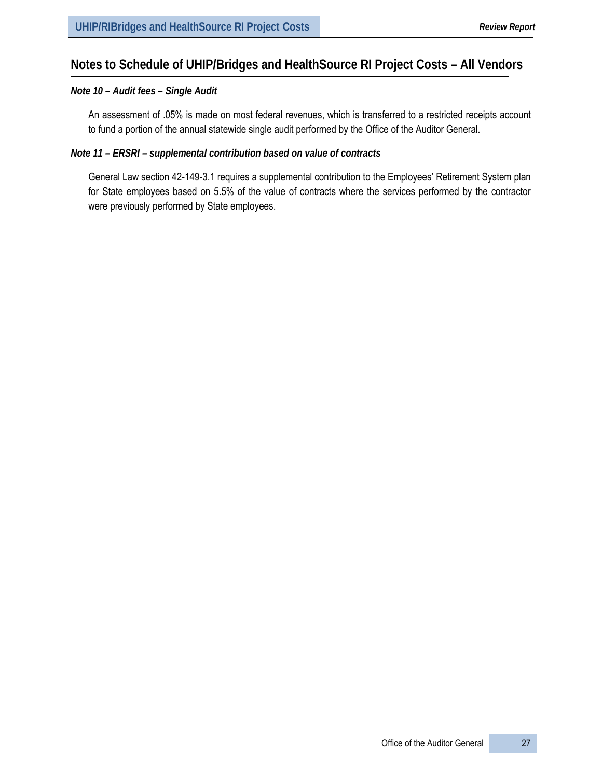# **Notes to Schedule of UHIP/Bridges and HealthSource RI Project Costs – All Vendors**

#### *Note 10 – Audit fees – Single Audit*

An assessment of .05% is made on most federal revenues, which is transferred to a restricted receipts account to fund a portion of the annual statewide single audit performed by the Office of the Auditor General.

### *Note 11 – ERSRI – supplemental contribution based on value of contracts*

General Law section 42-149-3.1 requires a supplemental contribution to the Employees' Retirement System plan for State employees based on 5.5% of the value of contracts where the services performed by the contractor were previously performed by State employees.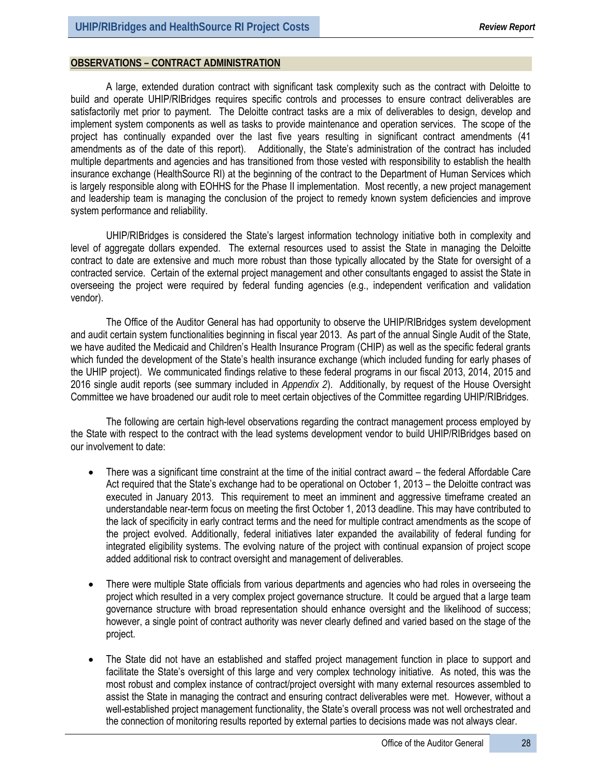#### **OBSERVATIONS – CONTRACT ADMINISTRATION**

A large, extended duration contract with significant task complexity such as the contract with Deloitte to build and operate UHIP/RIBridges requires specific controls and processes to ensure contract deliverables are satisfactorily met prior to payment. The Deloitte contract tasks are a mix of deliverables to design, develop and implement system components as well as tasks to provide maintenance and operation services. The scope of the project has continually expanded over the last five years resulting in significant contract amendments (41 amendments as of the date of this report). Additionally, the State's administration of the contract has included multiple departments and agencies and has transitioned from those vested with responsibility to establish the health insurance exchange (HealthSource RI) at the beginning of the contract to the Department of Human Services which is largely responsible along with EOHHS for the Phase II implementation. Most recently, a new project management and leadership team is managing the conclusion of the project to remedy known system deficiencies and improve system performance and reliability.

UHIP/RIBridges is considered the State's largest information technology initiative both in complexity and level of aggregate dollars expended. The external resources used to assist the State in managing the Deloitte contract to date are extensive and much more robust than those typically allocated by the State for oversight of a contracted service. Certain of the external project management and other consultants engaged to assist the State in overseeing the project were required by federal funding agencies (e.g., independent verification and validation vendor).

The Office of the Auditor General has had opportunity to observe the UHIP/RIBridges system development and audit certain system functionalities beginning in fiscal year 2013. As part of the annual Single Audit of the State, we have audited the Medicaid and Children's Health Insurance Program (CHIP) as well as the specific federal grants which funded the development of the State's health insurance exchange (which included funding for early phases of the UHIP project). We communicated findings relative to these federal programs in our fiscal 2013, 2014, 2015 and 2016 single audit reports (see summary included in *Appendix 2*). Additionally, by request of the House Oversight Committee we have broadened our audit role to meet certain objectives of the Committee regarding UHIP/RIBridges.

The following are certain high-level observations regarding the contract management process employed by the State with respect to the contract with the lead systems development vendor to build UHIP/RIBridges based on our involvement to date:

- There was a significant time constraint at the time of the initial contract award the federal Affordable Care Act required that the State's exchange had to be operational on October 1, 2013 – the Deloitte contract was executed in January 2013. This requirement to meet an imminent and aggressive timeframe created an understandable near-term focus on meeting the first October 1, 2013 deadline. This may have contributed to the lack of specificity in early contract terms and the need for multiple contract amendments as the scope of the project evolved. Additionally, federal initiatives later expanded the availability of federal funding for integrated eligibility systems. The evolving nature of the project with continual expansion of project scope added additional risk to contract oversight and management of deliverables.
- There were multiple State officials from various departments and agencies who had roles in overseeing the project which resulted in a very complex project governance structure. It could be argued that a large team governance structure with broad representation should enhance oversight and the likelihood of success; however, a single point of contract authority was never clearly defined and varied based on the stage of the project.
- The State did not have an established and staffed project management function in place to support and facilitate the State's oversight of this large and very complex technology initiative. As noted, this was the most robust and complex instance of contract/project oversight with many external resources assembled to assist the State in managing the contract and ensuring contract deliverables were met. However, without a well-established project management functionality, the State's overall process was not well orchestrated and the connection of monitoring results reported by external parties to decisions made was not always clear.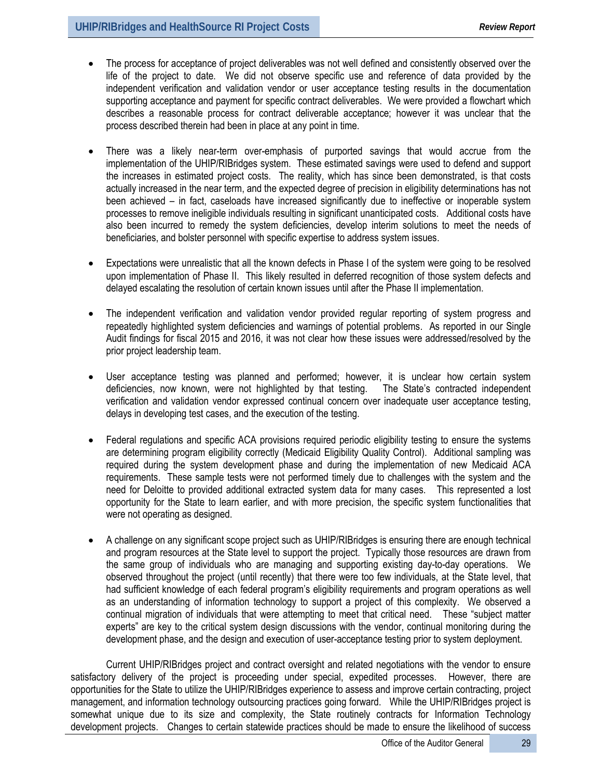- The process for acceptance of project deliverables was not well defined and consistently observed over the life of the project to date. We did not observe specific use and reference of data provided by the independent verification and validation vendor or user acceptance testing results in the documentation supporting acceptance and payment for specific contract deliverables. We were provided a flowchart which describes a reasonable process for contract deliverable acceptance; however it was unclear that the process described therein had been in place at any point in time.
- There was a likely near-term over-emphasis of purported savings that would accrue from the implementation of the UHIP/RIBridges system. These estimated savings were used to defend and support the increases in estimated project costs. The reality, which has since been demonstrated, is that costs actually increased in the near term, and the expected degree of precision in eligibility determinations has not been achieved – in fact, caseloads have increased significantly due to ineffective or inoperable system processes to remove ineligible individuals resulting in significant unanticipated costs. Additional costs have also been incurred to remedy the system deficiencies, develop interim solutions to meet the needs of beneficiaries, and bolster personnel with specific expertise to address system issues.
- Expectations were unrealistic that all the known defects in Phase I of the system were going to be resolved upon implementation of Phase II. This likely resulted in deferred recognition of those system defects and delayed escalating the resolution of certain known issues until after the Phase II implementation.
- The independent verification and validation vendor provided regular reporting of system progress and repeatedly highlighted system deficiencies and warnings of potential problems. As reported in our Single Audit findings for fiscal 2015 and 2016, it was not clear how these issues were addressed/resolved by the prior project leadership team.
- User acceptance testing was planned and performed; however, it is unclear how certain system deficiencies, now known, were not highlighted by that testing. The State's contracted independent verification and validation vendor expressed continual concern over inadequate user acceptance testing, delays in developing test cases, and the execution of the testing.
- Federal regulations and specific ACA provisions required periodic eligibility testing to ensure the systems are determining program eligibility correctly (Medicaid Eligibility Quality Control). Additional sampling was required during the system development phase and during the implementation of new Medicaid ACA requirements. These sample tests were not performed timely due to challenges with the system and the need for Deloitte to provided additional extracted system data for many cases. This represented a lost opportunity for the State to learn earlier, and with more precision, the specific system functionalities that were not operating as designed.
- A challenge on any significant scope project such as UHIP/RIBridges is ensuring there are enough technical and program resources at the State level to support the project. Typically those resources are drawn from the same group of individuals who are managing and supporting existing day-to-day operations. We observed throughout the project (until recently) that there were too few individuals, at the State level, that had sufficient knowledge of each federal program's eligibility requirements and program operations as well as an understanding of information technology to support a project of this complexity. We observed a continual migration of individuals that were attempting to meet that critical need. These "subject matter experts" are key to the critical system design discussions with the vendor, continual monitoring during the development phase, and the design and execution of user-acceptance testing prior to system deployment.

Current UHIP/RIBridges project and contract oversight and related negotiations with the vendor to ensure satisfactory delivery of the project is proceeding under special, expedited processes. However, there are opportunities for the State to utilize the UHIP/RIBridges experience to assess and improve certain contracting, project management, and information technology outsourcing practices going forward. While the UHIP/RIBridges project is somewhat unique due to its size and complexity, the State routinely contracts for Information Technology development projects. Changes to certain statewide practices should be made to ensure the likelihood of success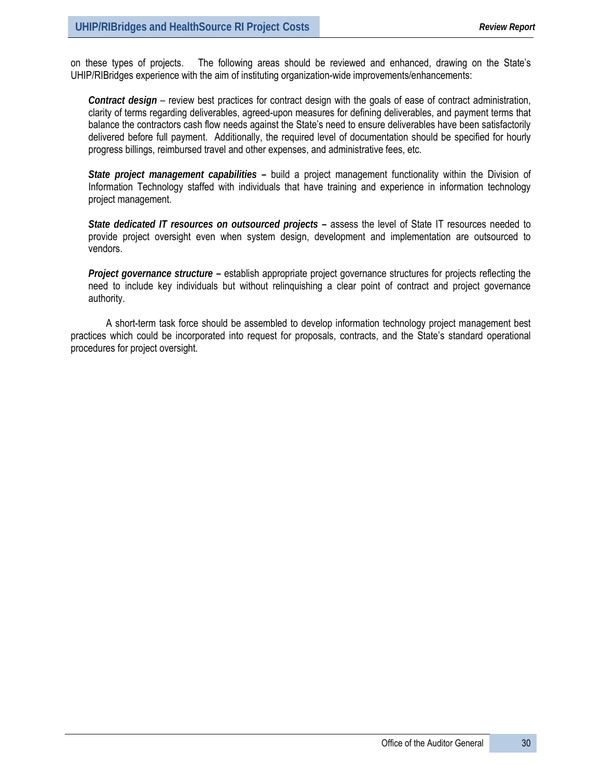on these types of projects. The following areas should be reviewed and enhanced, drawing on the State's UHIP/RIBridges experience with the aim of instituting organization-wide improvements/enhancements:

*Contract design* – review best practices for contract design with the goals of ease of contract administration, clarity of terms regarding deliverables, agreed-upon measures for defining deliverables, and payment terms that balance the contractors cash flow needs against the State's need to ensure deliverables have been satisfactorily delivered before full payment. Additionally, the required level of documentation should be specified for hourly progress billings, reimbursed travel and other expenses, and administrative fees, etc.

*State project management capabilities* **–** build a project management functionality within the Division of Information Technology staffed with individuals that have training and experience in information technology project management.

*State dedicated IT resources on outsourced projects* **–** assess the level of State IT resources needed to provide project oversight even when system design, development and implementation are outsourced to vendors.

*Project governance structure* **–** establish appropriate project governance structures for projects reflecting the need to include key individuals but without relinquishing a clear point of contract and project governance authority.

A short-term task force should be assembled to develop information technology project management best practices which could be incorporated into request for proposals, contracts, and the State's standard operational procedures for project oversight.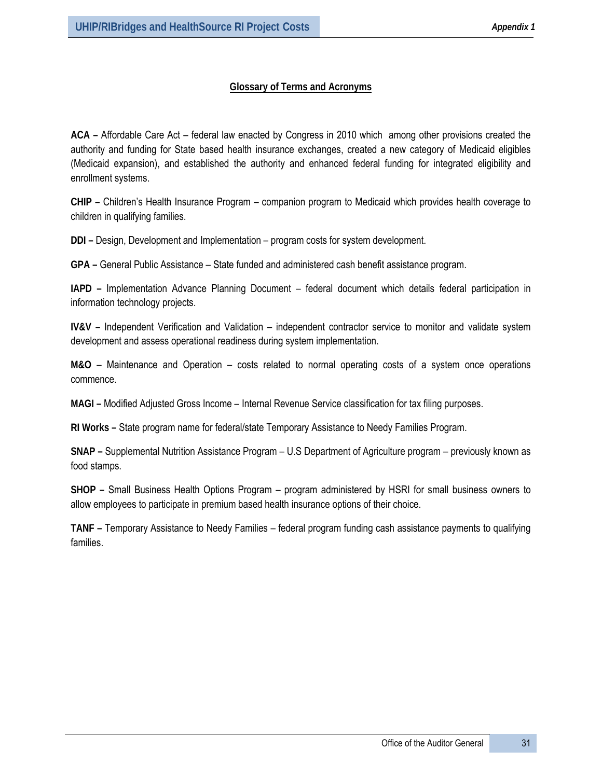## **Glossary of Terms and Acronyms**

**ACA –** Affordable Care Act – federal law enacted by Congress in 2010 which among other provisions created the authority and funding for State based health insurance exchanges, created a new category of Medicaid eligibles (Medicaid expansion), and established the authority and enhanced federal funding for integrated eligibility and enrollment systems.

**CHIP –** Children's Health Insurance Program – companion program to Medicaid which provides health coverage to children in qualifying families.

**DDI –** Design, Development and Implementation – program costs for system development.

**GPA –** General Public Assistance – State funded and administered cash benefit assistance program.

**IAPD –** Implementation Advance Planning Document – federal document which details federal participation in information technology projects.

**IV&V –** Independent Verification and Validation – independent contractor service to monitor and validate system development and assess operational readiness during system implementation.

**M&O** – Maintenance and Operation – costs related to normal operating costs of a system once operations commence.

**MAGI –** Modified Adjusted Gross Income – Internal Revenue Service classification for tax filing purposes.

**RI Works –** State program name for federal/state Temporary Assistance to Needy Families Program.

**SNAP –** Supplemental Nutrition Assistance Program – U.S Department of Agriculture program – previously known as food stamps.

**SHOP –** Small Business Health Options Program – program administered by HSRI for small business owners to allow employees to participate in premium based health insurance options of their choice.

**TANF –** Temporary Assistance to Needy Families – federal program funding cash assistance payments to qualifying families.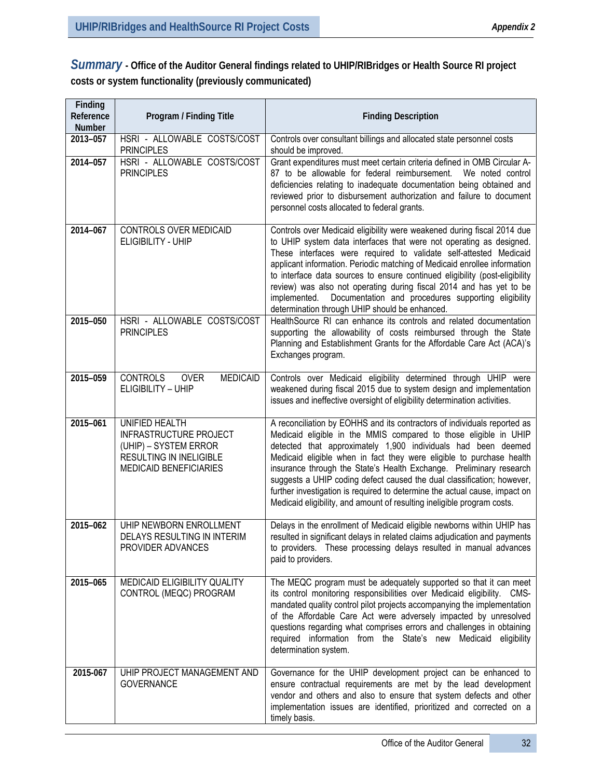*Summary* **- Office of the Auditor General findings related to UHIP/RIBridges or Health Source RI project costs or system functionality (previously communicated)**

| Finding<br>Reference<br><b>Number</b> | Program / Finding Title                                                                                                              | <b>Finding Description</b>                                                                                                                                                                                                                                                                                                                                                                                                                                                                                                                                                                      |
|---------------------------------------|--------------------------------------------------------------------------------------------------------------------------------------|-------------------------------------------------------------------------------------------------------------------------------------------------------------------------------------------------------------------------------------------------------------------------------------------------------------------------------------------------------------------------------------------------------------------------------------------------------------------------------------------------------------------------------------------------------------------------------------------------|
| 2013-057                              | HSRI - ALLOWABLE COSTS/COST<br><b>PRINCIPLES</b>                                                                                     | Controls over consultant billings and allocated state personnel costs<br>should be improved.                                                                                                                                                                                                                                                                                                                                                                                                                                                                                                    |
| 2014-057                              | HSRI - ALLOWABLE COSTS/COST<br><b>PRINCIPLES</b>                                                                                     | Grant expenditures must meet certain criteria defined in OMB Circular A-<br>87 to be allowable for federal reimbursement. We noted control<br>deficiencies relating to inadequate documentation being obtained and<br>reviewed prior to disbursement authorization and failure to document<br>personnel costs allocated to federal grants.                                                                                                                                                                                                                                                      |
| 2014-067                              | <b>CONTROLS OVER MEDICAID</b><br>ELIGIBILITY - UHIP                                                                                  | Controls over Medicaid eligibility were weakened during fiscal 2014 due<br>to UHIP system data interfaces that were not operating as designed.<br>These interfaces were required to validate self-attested Medicaid<br>applicant information. Periodic matching of Medicaid enrollee information<br>to interface data sources to ensure continued eligibility (post-eligibility<br>review) was also not operating during fiscal 2014 and has yet to be<br>implemented. Documentation and procedures supporting eligibility<br>determination through UHIP should be enhanced.                    |
| 2015-050                              | HSRI - ALLOWABLE COSTS/COST<br><b>PRINCIPLES</b>                                                                                     | HealthSource RI can enhance its controls and related documentation<br>supporting the allowability of costs reimbursed through the State<br>Planning and Establishment Grants for the Affordable Care Act (ACA)'s<br>Exchanges program.                                                                                                                                                                                                                                                                                                                                                          |
| 2015-059                              | <b>CONTROLS</b><br><b>OVER</b><br><b>MEDICAID</b><br>ELIGIBILITY - UHIP                                                              | Controls over Medicaid eligibility determined through UHIP were<br>weakened during fiscal 2015 due to system design and implementation<br>issues and ineffective oversight of eligibility determination activities.                                                                                                                                                                                                                                                                                                                                                                             |
| 2015-061                              | UNIFIED HEALTH<br><b>INFRASTRUCTURE PROJECT</b><br>(UHIP) – SYSTEM ERROR<br>RESULTING IN INELIGIBLE<br><b>MEDICAID BENEFICIARIES</b> | A reconciliation by EOHHS and its contractors of individuals reported as<br>Medicaid eligible in the MMIS compared to those eligible in UHIP<br>detected that approximately 1,900 individuals had been deemed<br>Medicaid eligible when in fact they were eligible to purchase health<br>insurance through the State's Health Exchange. Preliminary research<br>suggests a UHIP coding defect caused the dual classification; however,<br>further investigation is required to determine the actual cause, impact on<br>Medicaid eligibility, and amount of resulting ineligible program costs. |
| 2015-062                              | UHIP NEWBORN ENROLLMENT<br><b>DELAYS RESULTING IN INTERIM</b><br>PROVIDER ADVANCES                                                   | Delays in the enrollment of Medicaid eligible newborns within UHIP has<br>resulted in significant delays in related claims adjudication and payments<br>to providers. These processing delays resulted in manual advances<br>paid to providers.                                                                                                                                                                                                                                                                                                                                                 |
| 2015-065                              | MEDICAID ELIGIBILITY QUALITY<br>CONTROL (MEQC) PROGRAM                                                                               | The MEQC program must be adequately supported so that it can meet<br>its control monitoring responsibilities over Medicaid eligibility. CMS-<br>mandated quality control pilot projects accompanying the implementation<br>of the Affordable Care Act were adversely impacted by unresolved<br>questions regarding what comprises errors and challenges in obtaining<br>required information from the State's new Medicaid eligibility<br>determination system.                                                                                                                                 |
| 2015-067                              | UHIP PROJECT MANAGEMENT AND<br><b>GOVERNANCE</b>                                                                                     | Governance for the UHIP development project can be enhanced to<br>ensure contractual requirements are met by the lead development<br>vendor and others and also to ensure that system defects and other<br>implementation issues are identified, prioritized and corrected on a<br>timely basis.                                                                                                                                                                                                                                                                                                |